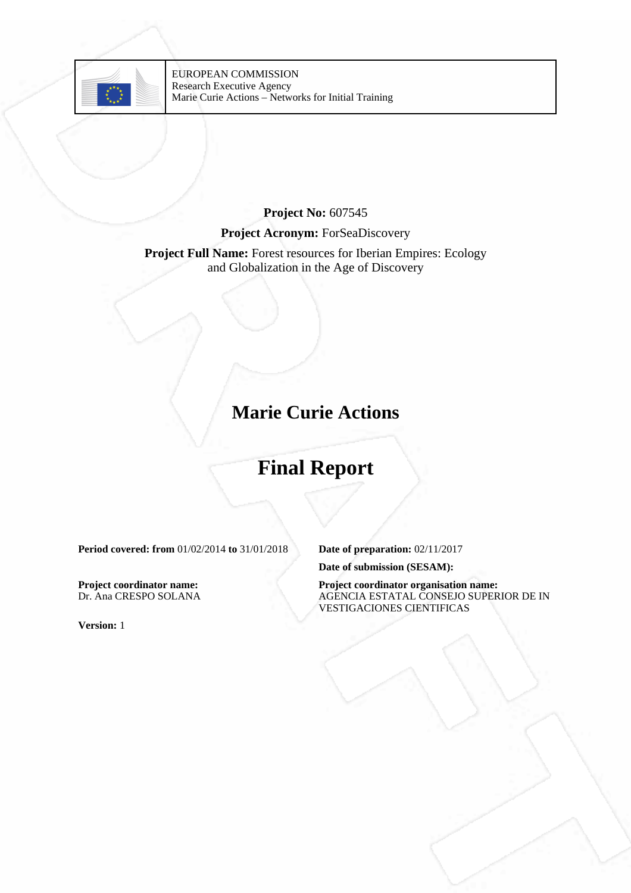

### **Project No:** 607545 **Project Acronym:** ForSeaDiscovery

#### **Project Full Name:** Forest resources for Iberian Empires: Ecology and Globalization in the Age of Discovery

## **Marie Curie Actions**

# **Final Report**

**Period covered: from** 01/02/2014 **to** 31/01/2018 **Date of preparation:** 02/11/2017

**Project coordinator name:** Dr. Ana CRESPO SOLANA

**Version:** 1

**Date of submission (SESAM):**

**Project coordinator organisation name:** AGENCIA ESTATAL CONSEJO SUPERIOR DE IN VESTIGACIONES CIENTIFICAS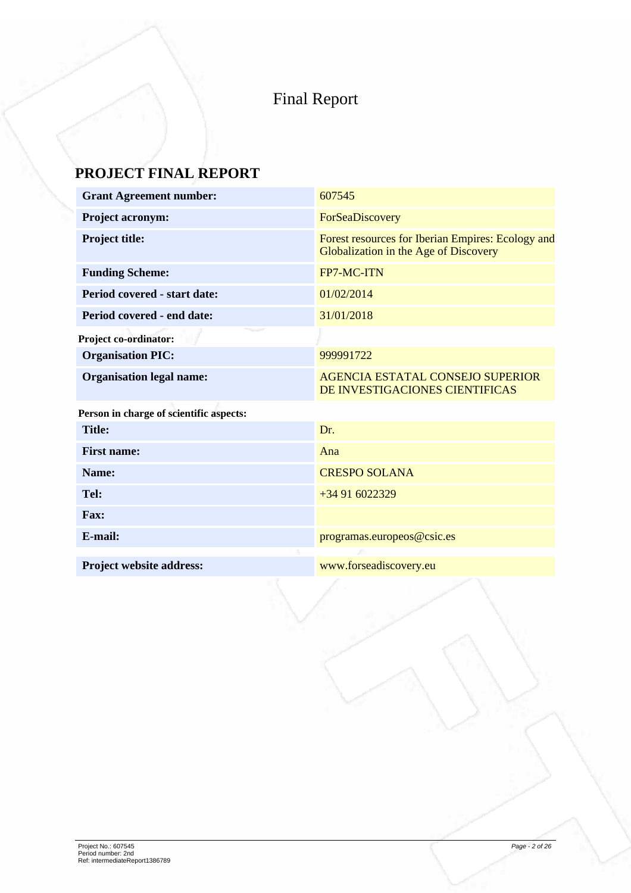## Final Report

## **PROJECT FINAL REPORT**

| <b>Grant Agreement number:</b>          | 607545                                                                                     |
|-----------------------------------------|--------------------------------------------------------------------------------------------|
| <b>Project acronym:</b>                 | ForSeaDiscovery                                                                            |
| Project title:                          | Forest resources for Iberian Empires: Ecology and<br>Globalization in the Age of Discovery |
| <b>Funding Scheme:</b>                  | FP7-MC-ITN                                                                                 |
| Period covered - start date:            | 01/02/2014                                                                                 |
| Period covered - end date:              | 31/01/2018                                                                                 |
| <b>Project co-ordinator:</b>            |                                                                                            |
| <b>Organisation PIC:</b>                | 999991722                                                                                  |
| <b>Organisation legal name:</b>         | <b>AGENCIA ESTATAL CONSEJO SUPERIOR</b><br>DE INVESTIGACIONES CIENTIFICAS                  |
| Person in charge of scientific aspects: |                                                                                            |
| <b>Title:</b>                           | Dr.                                                                                        |
| <b>First name:</b>                      | Ana                                                                                        |
| Name:                                   | <b>CRESPO SOLANA</b>                                                                       |
| Tel:                                    | $+34916022329$                                                                             |
| <b>Fax:</b>                             |                                                                                            |
| E-mail:                                 | programas.europeos@csic.es                                                                 |
| <b>Project website address:</b>         | www.forseadiscovery.eu                                                                     |
|                                         |                                                                                            |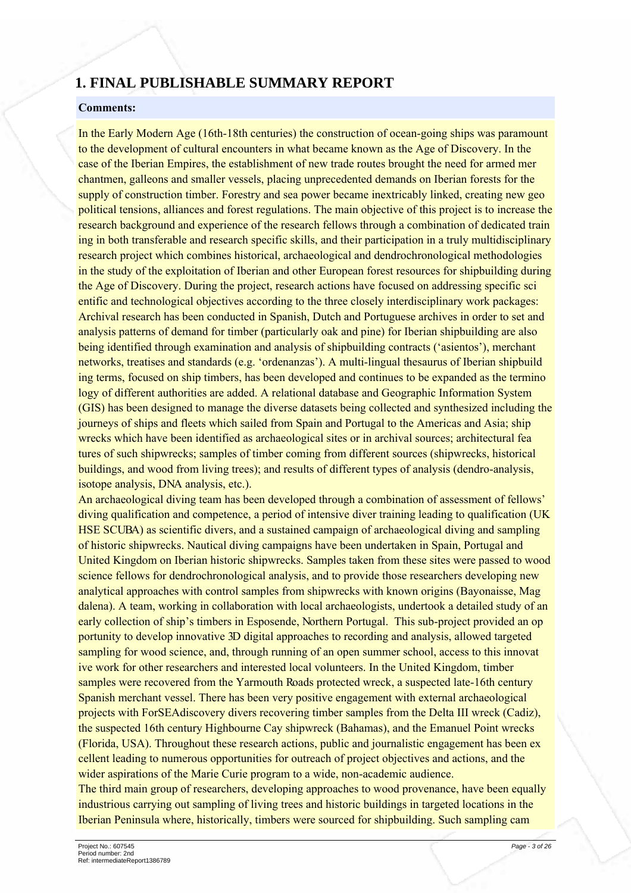### **1. FINAL PUBLISHABLE SUMMARY REPORT**

#### **Comments:**

In the Early Modern Age (16th-18th centuries) the construction of ocean-going ships was paramount to the development of cultural encounters in what became known as the Age of Discovery. In the case of the Iberian Empires, the establishment of new trade routes brought the need for armed mer chantmen, galleons and smaller vessels, placing unprecedented demands on Iberian forests for the supply of construction timber. Forestry and sea power became inextricably linked, creating new geo political tensions, alliances and forest regulations. The main objective of this project is to increase the research background and experience of the research fellows through a combination of dedicated train ing in both transferable and research specific skills, and their participation in a truly multidisciplinary research project which combines historical, archaeological and dendrochronological methodologies in the study of the exploitation of Iberian and other European forest resources for shipbuilding during the Age of Discovery. During the project, research actions have focused on addressing specific sci entific and technological objectives according to the three closely interdisciplinary work packages: Archival research has been conducted in Spanish, Dutch and Portuguese archives in order to set and analysis patterns of demand for timber (particularly oak and pine) for Iberian shipbuilding are also being identified through examination and analysis of shipbuilding contracts ('asientos'), merchant networks, treatises and standards (e.g. 'ordenanzas'). A multi-lingual thesaurus of Iberian shipbuild ing terms, focused on ship timbers, has been developed and continues to be expanded as the termino logy of different authorities are added. A relational database and Geographic Information System (GIS) has been designed to manage the diverse datasets being collected and synthesized including the journeys of ships and fleets which sailed from Spain and Portugal to the Americas and Asia; ship wrecks which have been identified as archaeological sites or in archival sources; architectural fea tures of such shipwrecks; samples of timber coming from different sources (shipwrecks, historical buildings, and wood from living trees); and results of different types of analysis (dendro-analysis, isotope analysis, DNA analysis, etc.).

An archaeological diving team has been developed through a combination of assessment of fellows' diving qualification and competence, a period of intensive diver training leading to qualification (UK) HSE SCUBA) as scientific divers, and a sustained campaign of archaeological diving and sampling of historic shipwrecks. Nautical diving campaigns have been undertaken in Spain. Portugal and United Kingdom on Iberian historic shipwrecks. Samples taken from these sites were passed to wood science fellows for dendrochronological analysis, and to provide those researchers developing new analytical approaches with control samples from shipwrecks with known origins (Bayonaisse, Mag dalena). A team, working in collaboration with local archaeologists, undertook a detailed study of an early collection of ship's timbers in Esposende, Northern Portugal. This sub-project provided an op portunity to develop innovative 3D digital approaches to recording and analysis, allowed targeted sampling for wood science, and, through running of an open summer school, access to this innovat ive work for other researchers and interested local volunteers. In the United Kingdom, timber samples were recovered from the Yarmouth Roads protected wreck, a suspected late-16th century Spanish merchant vessel. There has been very positive engagement with external archaeological projects with ForSEA discovery divers recovering timber samples from the Delta III wreck (Cadiz), the suspected 16th century Highbourne Cay shipwreck (Bahamas), and the Emanuel Point wrecks (Florida, USA). Throughout these research actions, public and journalistic engagement has been ex cellent leading to numerous opportunities for outreach of project objectives and actions, and the wider aspirations of the Marie Curie program to a wide, non-academic audience.

The third main group of researchers, developing approaches to wood provenance, have been equally industrious carrying out sampling of living trees and historic buildings in targeted locations in the Iberian Peninsula where, historically, timbers were sourced for shipbuilding. Such sampling cam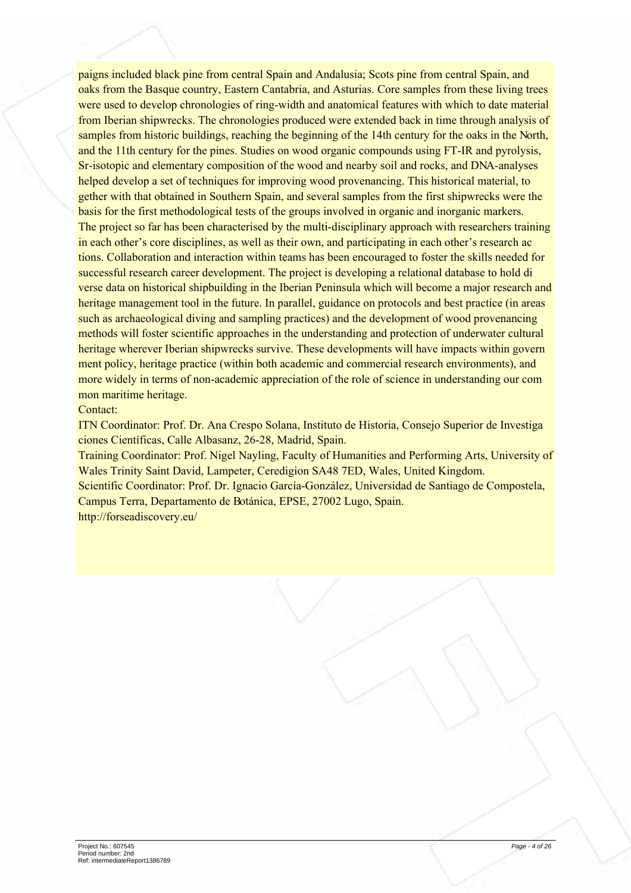paigns included black pine from central Spain and Andalusia; Scots pine from central Spain, and oaks from the Basque country. Eastern Cantabria, and Asturias. Core samples from these living trees were used to develop chronologies of ring-width and anatomical features with which to date material from Iberian shipwrecks. The chronologies produced were extended back in time through analysis of samples from historic buildings, reaching the beginning of the 14th century for the oaks in the North, and the 11th century for the pines. Studies on wood organic compounds using FT-IR and pyrolysis, Sr-isotopic and elementary composition of the wood and nearby soil and rocks, and DNA-analyses helped develop a set of techniques for improving wood provenancing. This historical material, to gether with that obtained in Southern Spain, and several samples from the first shipwrecks were the basis for the first methodological tests of the groups involved in organic and inorganic markers. The project so far has been characterised by the multi-disciplinary approach with researchers training in each other's core disciplines, as well as their own, and participating in each other's research ac tions. Collaboration and interaction within teams has been encouraged to foster the skills needed for successful research career development. The project is developing a relational database to hold di verse data on historical shipbuilding in the Iberian Peninsula which will become a major research and heritage management tool in the future. In parallel, guidance on protocols and best practice (in areas such as archaeological diving and sampling practices) and the development of wood provenancing methods will foster scientific approaches in the understanding and protection of underwater cultural heritage wherever Iberian shipwrecks survive. These developments will have impacts within govern ment policy, heritage practice (within both academic and commercial research environments), and more widely in terms of non-academic appreciation of the role of science in understanding our com mon maritime heritage.

#### Contact:

ITN Coordinator: Prof. Dr. Ana Crespo Solana. Instituto de Historia. Consejo Superior de Investiga ciones Científicas, Calle Albasanz, 26-28, Madrid, Spain.

Training Coordinator: Prof. Nigel Nayling, Faculty of Humanities and Performing Arts, University of Wales Trinity Saint David, Lampeter, Ceredigion SA48 7ED, Wales, United Kingdom,

Scientific Coordinator: Prof. Dr. Ignacio García-González, Universidad de Santiago de Compostela, Campus Terra, Departamento de Botánica, EPSE, 27002 Lugo, Spain.

http://forseadiscovery.eu/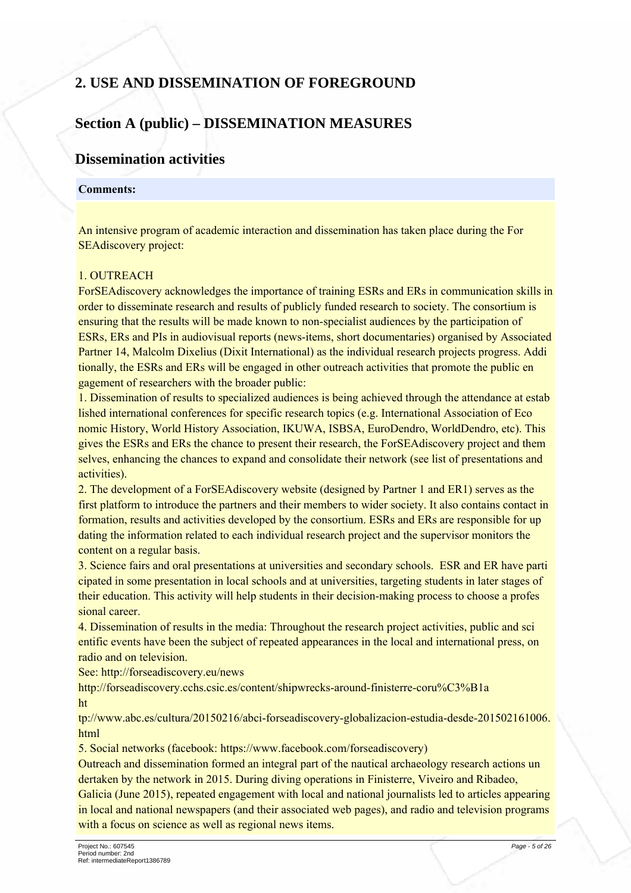## 2. USE AND DISSEMINATION OF FOREGROUND

### **Section A (public) – DISSEMINATION MEASURES**

### **Dissemination activities**

#### **Comments:**

An intensive program of academic interaction and dissemination has taken place during the For **SEAdiscovery project:** 

#### 1 OUTREACH

For SEA discovery acknowledges the importance of training ESRs and ERs in communication skills in order to disseminate research and results of publicly funded research to society. The consortium is ensuring that the results will be made known to non-specialist audiences by the participation of ESRs, ERs and PIs in audiovisual reports (news-items, short documentaries) organised by Associated Partner 14, Malcolm Dixelius (Dixit International) as the individual research projects progress. Addi tionally, the ESRs and ERs will be engaged in other outreach activities that promote the public en gagement of researchers with the broader public:

1. Dissemination of results to specialized audiences is being achieved through the attendance at estab lished international conferences for specific research topics (e.g. International Association of Eco nomic History, World History Association, IKUWA, ISBSA, EuroDendro, WorldDendro, etc). This gives the ESRs and ERs the chance to present their research, the ForSEA discovery project and them selves, enhancing the chances to expand and consolidate their network (see list of presentations and activities).

2. The development of a ForSEA discovery website (designed by Partner 1 and ER1) serves as the first platform to introduce the partners and their members to wider society. It also contains contact in formation, results and activities developed by the consortium. ESRs and ERs are responsible for up dating the information related to each individual research project and the supervisor monitors the content on a regular basis.

3. Science fairs and oral presentations at universities and secondary schools. ESR and ER have parti cipated in some presentation in local schools and at universities, targeting students in later stages of their education. This activity will help students in their decision-making process to choose a profes sional career.

4. Dissemination of results in the media: Throughout the research project activities, public and sci entific events have been the subject of repeated appearances in the local and international press, on radio and on television.

See: http://forseadiscovery.eu/news

http://forseadiscovery.cchs.csic.es/content/shipwrecks-around-finisterre-coru%C3%B1a ht

tp://www.abc.es/cultura/20150216/abci-forseadiscovery-globalizacion-estudia-desde-201502161006. html

5. Social networks (facebook: https://www.facebook.com/forseadiscovery)

Outreach and dissemination formed an integral part of the nautical archaeology research actions un dertaken by the network in 2015. During diving operations in Finisterre, Viveiro and Ribadeo, Galicia (June 2015), repeated engagement with local and national journalists led to articles appearing in local and national newspapers (and their associated web pages), and radio and television programs with a focus on science as well as regional news items.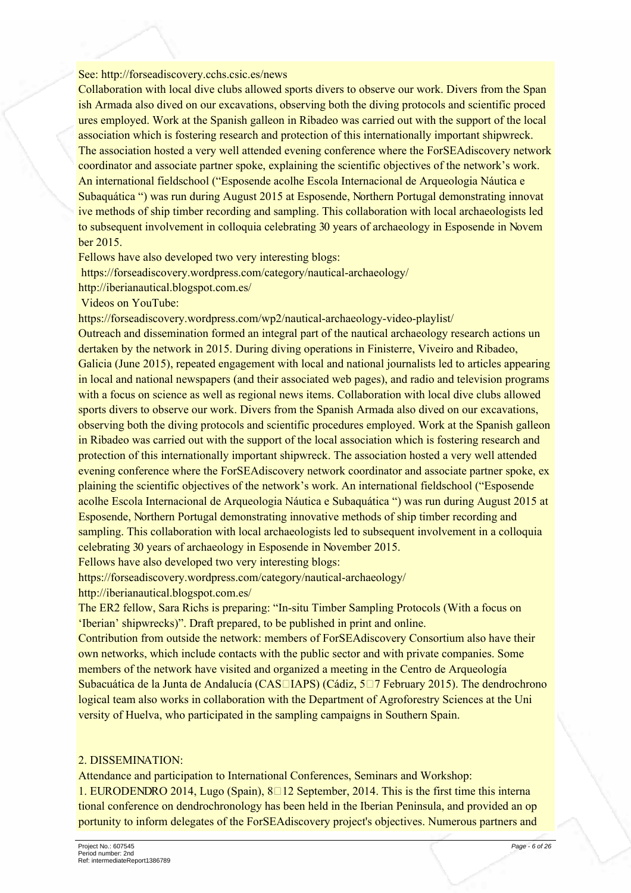#### See: http://forseadiscovery.cchs.csic.es/news

Collaboration with local dive clubs allowed sports divers to observe our work. Divers from the Span ish Armada also dived on our excavations, observing both the diving protocols and scientific proced ures employed. Work at the Spanish galleon in Ribadeo was carried out with the support of the local association which is fostering research and protection of this internationally important shipwreck. The association hosted a very well attended evening conference where the ForSEAdiscovery network coordinator and associate partner spoke, explaining the scientific objectives of the network's work. An international fieldschool ("Esposende acolhe Escola Internacional de Arqueologia Náutica e Subaquática ") was run during August 2015 at Esposende, Northern Portugal demonstrating innovat ive methods of ship timber recording and sampling. This collaboration with local archaeologists led to subsequent involvement in colloquia celebrating 30 years of archaeology in Esposende in Novem ber 2015.

Fellows have also developed two very interesting blogs:

https://forseadiscovery.wordpress.com/category/nautical-archaeology/

http://iberianautical.blogspot.com.es/

Videos on YouTube:

https://forseadiscovery.wordpress.com/wp2/nautical-archaeology-video-playlist/

Outreach and dissemination formed an integral part of the nautical archaeology research actions un dertaken by the network in 2015. During diving operations in Finisterre, Viveiro and Ribadeo, Galicia (June 2015), repeated engagement with local and national journalists led to articles appearing in local and national newspapers (and their associated web pages), and radio and television programs with a focus on science as well as regional news items. Collaboration with local dive clubs allowed sports divers to observe our work. Divers from the Spanish Armada also dived on our excavations, observing both the diving protocols and scientific procedures employed. Work at the Spanish galleon in Ribadeo was carried out with the support of the local association which is fostering research and protection of this internationally important shipwreck. The association hosted a very well attended evening conference where the ForSEA discovery network coordinator and associate partner spoke, ex plaining the scientific objectives of the network's work. An international fieldschool ("Esposende acolhe Escola Internacional de Arqueologia Náutica e Subaquática ") was run during August 2015 at Esposende, Northern Portugal demonstrating innovative methods of ship timber recording and sampling. This collaboration with local archaeologists led to subsequent involvement in a colloquia celebrating 30 years of archaeology in Esposende in November 2015.

Fellows have also developed two very interesting blogs:

https://forseadiscovery.wordpress.com/category/nautical-archaeology/

http://iberianautical.blogspot.com.es/

The ER2 fellow, Sara Richs is preparing: "In-situ Timber Sampling Protocols (With a focus on 'Iberian' shipwrecks)". Draft prepared, to be published in print and online.

Contribution from outside the network: members of ForSEAdiscovery Consortium also have their own networks, which include contacts with the public sector and with private companies. Some members of the network have visited and organized a meeting in the Centro de Arqueología Subacuática de la Junta de Andalucía (CAS□IAPS) (Cádiz, 5□7 February 2015). The dendrochrono logical team also works in collaboration with the Department of Agroforestry Sciences at the Uni versity of Huelva, who participated in the sampling campaigns in Southern Spain.

#### 2. DISSEMINATION:

Attendance and participation to International Conferences, Seminars and Workshop:

1. EURODENDRO 2014, Lugo (Spain),  $8\Box 12$  September, 2014. This is the first time this interna tional conference on dendrochronology has been held in the Iberian Peninsula, and provided an op portunity to inform delegates of the ForSEA discovery project's objectives. Numerous partners and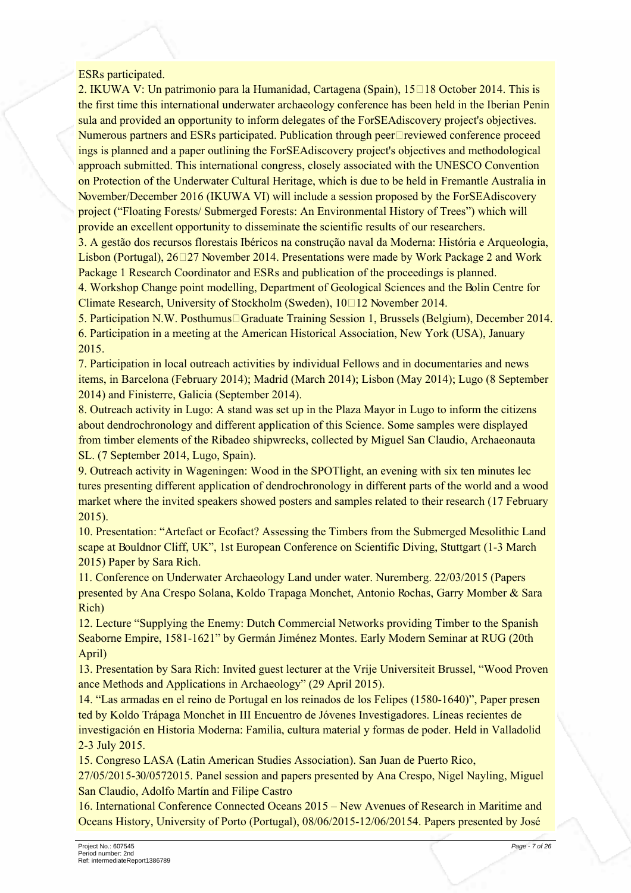#### **ESRs** participated.

2. IKUWA V: Un patrimonio para la Humanidad, Cartagena (Spain),  $15\Box 18$  October 2014. This is the first time this international underwater archaeology conference has been held in the Iberian Penin sula and provided an opportunity to inform delegates of the ForSEA discovery project's objectives. Numerous partners and ESRs participated. Publication through peer $\square$  reviewed conference proceed ings is planned and a paper outlining the ForSEAdiscovery project's objectives and methodological approach submitted. This international congress, closely associated with the UNESCO Convention on Protection of the Underwater Cultural Heritage, which is due to be held in Fremantle Australia in November/December 2016 (IKUWA VI) will include a session proposed by the ForSEAdiscovery project ("Floating Forests/Submerged Forests: An Environmental History of Trees") which will provide an excellent opportunity to disseminate the scientific results of our researchers.

3. A gestão dos recursos florestais Ibéricos na construção naval da Moderna: História e Arqueologia, Lisbon (Portugal),  $26\Box 27$  November 2014. Presentations were made by Work Package 2 and Work Package 1 Research Coordinator and ESRs and publication of the proceedings is planned.

4. Workshop Change point modelling, Department of Geological Sciences and the Bolin Centre for Climate Research, University of Stockholm (Sweden), 10□12 November 2014.

5. Participation N.W. Posthumus Graduate Training Session 1, Brussels (Belgium), December 2014. 6. Participation in a meeting at the American Historical Association. New York (USA), January 2015

7. Participation in local outreach activities by individual Fellows and in documentaries and news items, in Barcelona (February 2014); Madrid (March 2014); Lisbon (May 2014); Lugo (8 September 2014) and Finisterre, Galicia (September 2014).

8. Outreach activity in Lugo: A stand was set up in the Plaza Mayor in Lugo to inform the citizens about dendrochronology and different application of this Science. Some samples were displayed from timber elements of the Ribadeo shipwrecks, collected by Miguel San Claudio, Archaeonauta SL. (7 September 2014, Lugo, Spain).

9. Outreach activity in Wageningen: Wood in the SPOTlight, an evening with six ten minutes lec tures presenting different application of dendrochronology in different parts of the world and a wood market where the invited speakers showed posters and samples related to their research (17 February  $2015$ ).

10. Presentation: "Artefact or Ecofact? Assessing the Timbers from the Submerged Mesolithic Land scape at Bouldnor Cliff, UK", 1st European Conference on Scientific Diving, Stuttgart (1-3 March 2015) Paper by Sara Rich.

11. Conference on Underwater Archaeology Land under water. Nuremberg, 22/03/2015 (Papers presented by Ana Crespo Solana, Koldo Trapaga Monchet, Antonio Rochas, Garry Momber & Sara Rich)

12. Lecture "Supplying the Enemy: Dutch Commercial Networks providing Timber to the Spanish Seaborne Empire, 1581-1621" by Germán Jiménez Montes. Early Modern Seminar at RUG (20th April)

13. Presentation by Sara Rich: Invited guest lecturer at the Vrije Universiteit Brussel, "Wood Proven ance Methods and Applications in Archaeology" (29 April 2015).

14. "Las armadas en el reino de Portugal en los reinados de los Felipes (1580-1640)", Paper presen ted by Koldo Trápaga Monchet in III Encuentro de Jóvenes Investigadores. Líneas recientes de investigación en Historia Moderna: Familia, cultura material y formas de poder. Held in Valladolid 2-3 July 2015.

15. Congreso LASA (Latin American Studies Association). San Juan de Puerto Rico,

27/05/2015-30/0572015. Panel session and papers presented by Ana Crespo, Nigel Nayling, Miguel San Claudio, Adolfo Martín and Filipe Castro

16. International Conference Connected Oceans 2015 – New Avenues of Research in Maritime and Oceans History, University of Porto (Portugal), 08/06/2015-12/06/20154. Papers presented by José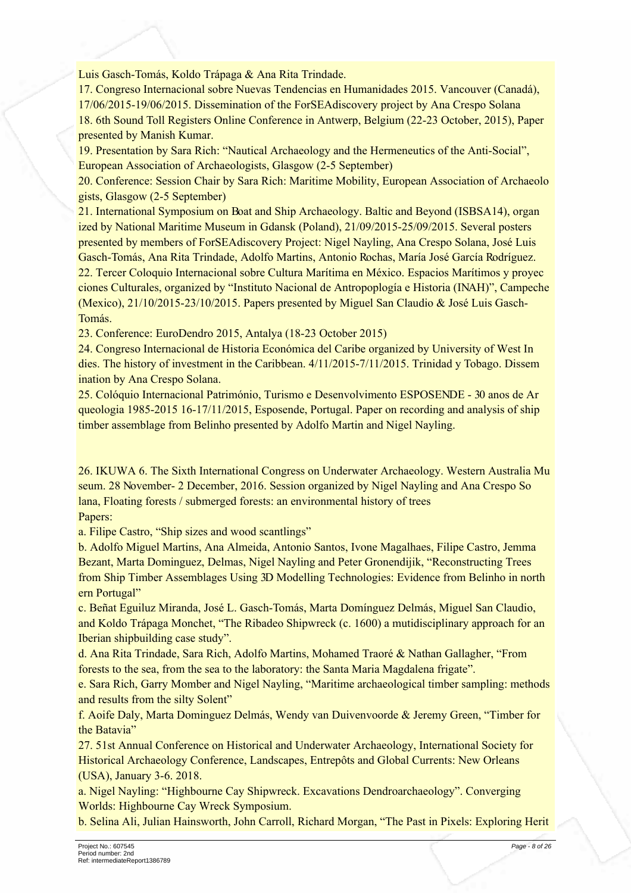Luis Gasch-Tomás, Koldo Trápaga & Ana Rita Trindade.

17. Congreso Internacional sobre Nuevas Tendencias en Humanidades 2015. Vancouver (Canadá). 17/06/2015-19/06/2015. Dissemination of the ForSEAdiscovery project by Ana Crespo Solana 18. 6th Sound Toll Registers Online Conference in Antwerp, Belgium (22-23 October, 2015), Paper presented by Manish Kumar.

19. Presentation by Sara Rich: "Nautical Archaeology and the Hermeneutics of the Anti-Social", European Association of Archaeologists, Glasgow (2-5 September)

20. Conference: Session Chair by Sara Rich: Maritime Mobility, European Association of Archaeolo gists, Glasgow (2-5 September)

21. International Symposium on Boat and Ship Archaeology. Baltic and Beyond (ISBSA14), organ ized by National Maritime Museum in Gdansk (Poland), 21/09/2015-25/09/2015. Several posters presented by members of ForSEAdiscovery Project: Nigel Nayling, Ana Crespo Solana, José Luis Gasch-Tomás, Ana Rita Trindade, Adolfo Martins, Antonio Rochas, María José García Rodríguez. 22. Tercer Coloquio Internacional sobre Cultura Marítima en México. Espacios Marítimos y proyec ciones Culturales, organized by "Instituto Nacional de Antropoplogía e Historia (INAH)", Campeche (Mexico), 21/10/2015-23/10/2015. Papers presented by Miguel San Claudio & José Luis Gasch-Tomás.

23. Conference: EuroDendro 2015. Antalya (18-23 October 2015)

24. Congreso Internacional de Historia Económica del Caribe organized by University of West In dies. The history of investment in the Caribbean. 4/11/2015-7/11/2015. Trinidad y Tobago. Dissem ination by Ana Crespo Solana.

25. Colóquio Internacional Património, Turismo e Desenvolvimento ESPOSENDE - 30 anos de Ar queologia 1985-2015 16-17/11/2015, Esposende, Portugal. Paper on recording and analysis of ship timber assemblage from Belinho presented by Adolfo Martin and Nigel Navling.

26. IKUWA 6. The Sixth International Congress on Underwater Archaeology. Western Australia Mu seum. 28 November-2 December, 2016. Session organized by Nigel Nayling and Ana Crespo So lana, Floating forests / submerged forests: an environmental history of trees Papers:

a. Filipe Castro, "Ship sizes and wood scantlings"

b. Adolfo Miguel Martins, Ana Almeida, Antonio Santos, Ivone Magalhaes, Filipe Castro, Jemma Bezant, Marta Dominguez, Delmas, Nigel Nayling and Peter Gronendijik, "Reconstructing Trees from Ship Timber Assemblages Using 3D Modelling Technologies: Evidence from Belinho in north ern Portugal"

c. Beñat Eguiluz Miranda, José L. Gasch-Tomás, Marta Domínguez Delmás, Miguel San Claudio, and Koldo Trápaga Monchet, "The Ribadeo Shipwreck (c. 1600) a mutidisciplinary approach for an Iberian shipbuilding case study".

d. Ana Rita Trindade, Sara Rich, Adolfo Martins, Mohamed Traoré & Nathan Gallagher, "From forests to the sea, from the sea to the laboratory: the Santa Maria Magdalena frigate".

e. Sara Rich, Garry Momber and Nigel Nayling, "Maritime archaeological timber sampling: methods and results from the silty Solent"

f. Aoife Daly, Marta Dominguez Delmás, Wendy van Duivenvoorde & Jeremy Green, "Timber for the Batavia"

27. 51st Annual Conference on Historical and Underwater Archaeology, International Society for Historical Archaeology Conference, Landscapes, Entrepôts and Global Currents: New Orleans (USA), January 3-6, 2018.

a. Nigel Nayling: "Highbourne Cay Shipwreck. Excavations Dendroarchaeology". Converging Worlds: Highbourne Cay Wreck Symposium.

b. Selina Ali, Julian Hainsworth, John Carroll, Richard Morgan, "The Past in Pixels: Exploring Herit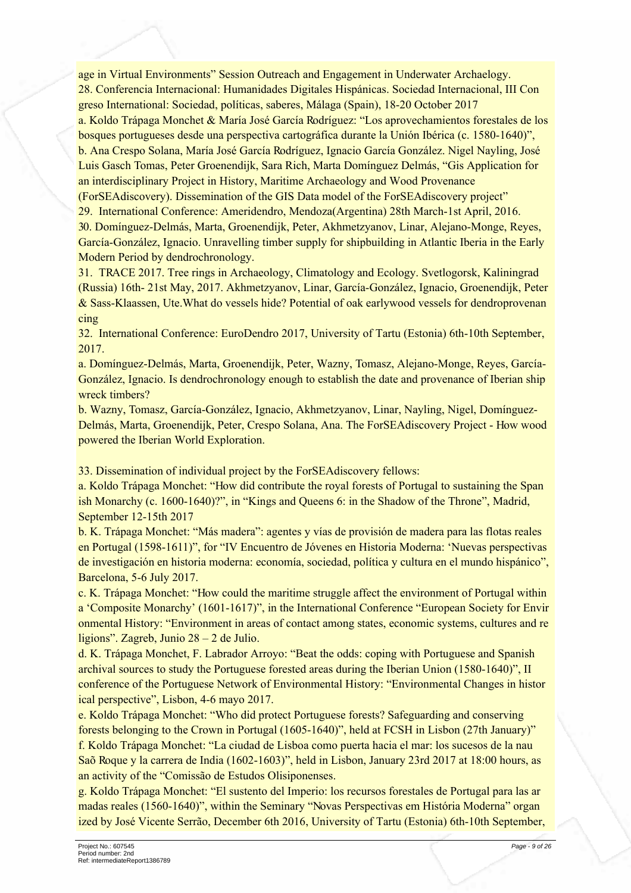age in Virtual Environments" Session Outreach and Engagement in Underwater Archaelogy. 28. Conferencia Internacional: Humanidades Digitales Hispánicas, Sociedad Internacional, III Con greso International: Sociedad, políticas, saberes, Málaga (Spain), 18-20 October 2017

a. Koldo Trápaga Monchet & María José García Rodríguez: "Los aprovechamientos forestales de los bosques portugueses desde una perspectiva cartográfica durante la Unión Ibérica (c. 1580-1640)". b. Ana Crespo Solana, María José García Rodríguez, Ignacio García González. Nigel Nayling, José Luis Gasch Tomas, Peter Groenendijk, Sara Rich, Marta Dominguez Delmás, "Gis Application for an interdisciplinary Project in History, Maritime Archaeology and Wood Provenance

(ForSEAdiscovery). Dissemination of the GIS Data model of the ForSEAdiscovery project" 29. International Conference: Ameridendro, Mendoza(Argentina) 28th March-1st April, 2016. 30. Domínguez-Delmás, Marta, Groenendijk, Peter, Akhmetzvanov, Linar, Alejano-Monge, Reves, García-González, Ignacio. Unravelling timber supply for shipbuilding in Atlantic Iberia in the Early Modern Period by dendrochronology.

31. TRACE 2017. Tree rings in Archaeology, Climatology and Ecology. Svetlogorsk, Kaliningrad (Russia) 16th-21st May, 2017. Akhmetzyanov, Linar, García-González, Ignacio, Groenendijk, Peter & Sass-Klaassen, Ute What do vessels hide? Potential of oak earlywood vessels for dendroprovenan cing

32. International Conference: EuroDendro 2017. University of Tartu (Estonia) 6th-10th September. 2017

a. Domínguez-Delmás, Marta, Groenendijk, Peter, Wazny, Tomasz, Alejano-Monge, Reyes, García-González, Ignacio. Is dendrochronology enough to establish the date and provenance of Iberian ship wreck timbers?

b. Wazny, Tomasz, García-González, Ignacio, Akhmetzyanov, Linar, Nayling, Nigel, Domínguez-Delmás, Marta, Groenendijk, Peter, Crespo Solana, Ana, The ForSEAdiscovery Project - How wood powered the Iberian World Exploration.

33. Dissemination of individual project by the ForSEA discovery fellows:

a. Koldo Trápaga Monchet: "How did contribute the royal forests of Portugal to sustaining the Span ish Monarchy (c. 1600-1640)?", in "Kings and Queens 6: in the Shadow of the Throne", Madrid, September 12-15th 2017

b. K. Trápaga Monchet: "Más madera": agentes y vías de provisión de madera para las flotas reales en Portugal (1598-1611)", for "IV Encuentro de Jóvenes en Historia Moderna: 'Nuevas perspectivas de investigación en historia moderna: economía, sociedad, política y cultura en el mundo hispánico", Barcelona, 5-6 July 2017.

c. K. Trápaga Monchet: "How could the maritime struggle affect the environment of Portugal within a 'Composite Monarchy' (1601-1617)", in the International Conference "European Society for Envir onmental History: "Environment in areas of contact among states, economic systems, cultures and re ligions". Zagreb, Junio  $28 - 2$  de Julio.

d. K. Trápaga Monchet, F. Labrador Arroyo: "Beat the odds: coping with Portuguese and Spanish archival sources to study the Portuguese forested areas during the Iberian Union (1580-1640)". II conference of the Portuguese Network of Environmental History: "Environmental Changes in histor ical perspective", Lisbon, 4-6 mayo 2017.

e. Koldo Trápaga Monchet: "Who did protect Portuguese forests? Safeguarding and conserving forests belonging to the Crown in Portugal (1605-1640)", held at FCSH in Lisbon (27th January)" f. Koldo Trápaga Monchet: "La ciudad de Lisboa como puerta hacia el mar: los sucesos de la nau São Roque y la carrera de India (1602-1603)", held in Lisbon, January 23rd 2017 at 18:00 hours, as an activity of the "Comissão de Estudos Olisiponenses.

g. Koldo Trápaga Monchet: "El sustento del Imperio: los recursos forestales de Portugal para las ar madas reales (1560-1640)", within the Seminary "Novas Perspectivas em História Moderna" organ ized by José Vicente Serrão, December 6th 2016, University of Tartu (Estonia) 6th-10th September,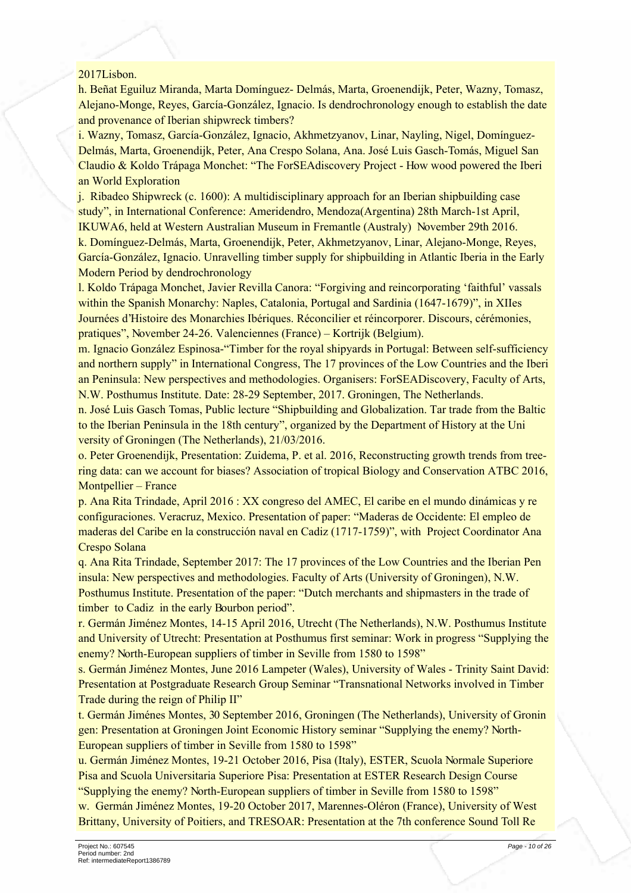#### 2017Lisbon.

h. Beñat Eguiluz Miranda, Marta Domínguez- Delmás, Marta, Groenendiik, Peter, Wazny, Tomasz, Alejano-Monge, Reyes, García-González, Ignacio. Is dendrochronology enough to establish the date and provenance of Iberian shipwreck timbers?

i. Wazny, Tomasz, García-González, Ignacio, Akhmetzyanov, Linar, Nayling, Nigel, Domínguez-Delmás, Marta, Groenendijk, Peter, Ana Crespo Solana, Ana. José Luis Gasch-Tomás, Miguel San Claudio & Koldo Trápaga Monchet: "The ForSEAdiscovery Project - How wood powered the Iberi an World Exploration

j. Ribadeo Shipwreck (c. 1600): A multidisciplinary approach for an Iberian shipbuilding case study", in International Conference: Ameridendro, Mendoza (Argentina) 28th March-1st April, IKUWA6, held at Western Australian Museum in Fremantle (Australy) November 29th 2016. k. Domínguez-Delmás, Marta, Groenendijk, Peter, Akhmetzyanov, Linar, Alejano-Monge, Reyes, García-González, Ignacio. Unravelling timber supply for shipbuilding in Atlantic Iberia in the Early Modern Period by dendrochronology

l. Koldo Trápaga Monchet, Javier Revilla Canora: "Forgiving and reincorporating 'faithful' vassals within the Spanish Monarchy: Naples, Catalonia, Portugal and Sardinia (1647-1679)", in XIIes Journées d'Histoire des Monarchies Ibériques. Réconcilier et réincorporer. Discours, cérémonies, pratiques". November 24-26. Valenciennes (France) – Kortrijk (Belgium).

m. Ignacio González Espinosa-"Timber for the royal shipyards in Portugal: Between self-sufficiency and northern supply" in International Congress, The 17 provinces of the Low Countries and the Iberi an Peninsula: New perspectives and methodologies. Organisers: ForSEADiscovery, Faculty of Arts, N.W. Posthumus Institute. Date: 28-29 September, 2017. Groningen, The Netherlands.

n. José Luis Gasch Tomas, Public lecture "Shipbuilding and Globalization. Tar trade from the Baltic to the Iberian Peninsula in the 18th century", organized by the Department of History at the Uni versity of Groningen (The Netherlands), 21/03/2016.

o. Peter Groenendijk, Presentation: Zuidema, P. et al. 2016, Reconstructing growth trends from treering data: can we account for biases? Association of tropical Biology and Conservation ATBC 2016, Montpellier – France

p. Ana Rita Trindade, April 2016 : XX congreso del AMEC, El caribe en el mundo dinámicas y re configuraciones. Veracruz, Mexico. Presentation of paper: "Maderas de Occidente: El empleo de maderas del Caribe en la construcción naval en Cadiz (1717-1759)", with Project Coordinator Ana Crespo Solana

q. Ana Rita Trindade, September 2017: The 17 provinces of the Low Countries and the Iberian Pen insula: New perspectives and methodologies. Faculty of Arts (University of Groningen), N.W. Posthumus Institute. Presentation of the paper: "Dutch merchants and shipmasters in the trade of timber to Cadiz in the early Bourbon period".

r. Germán Jiménez Montes, 14-15 April 2016, Utrecht (The Netherlands), N.W. Posthumus Institute and University of Utrecht: Presentation at Posthumus first seminar: Work in progress "Supplying the enemy? North-European suppliers of timber in Seville from 1580 to 1598"

s. Germán Jiménez Montes, June 2016 Lampeter (Wales), University of Wales - Trinity Saint David: Presentation at Postgraduate Research Group Seminar "Transnational Networks involved in Timber Trade during the reign of Philip II"

t. Germán Jiménes Montes, 30 September 2016, Groningen (The Netherlands), University of Gronin gen: Presentation at Groningen Joint Economic History seminar "Supplying the enemy? North-European suppliers of timber in Seville from 1580 to 1598"

u. Germán Jiménez Montes, 19-21 October 2016, Pisa (Italy), ESTER, Scuola Normale Superiore Pisa and Scuola Universitaria Superiore Pisa: Presentation at ESTER Research Design Course "Supplying the enemy? North-European suppliers of timber in Seville from 1580 to 1598"

w. Germán Jiménez Montes, 19-20 October 2017, Marennes-Oléron (France), University of West Brittany, University of Poitiers, and TRESOAR: Presentation at the 7th conference Sound Toll Re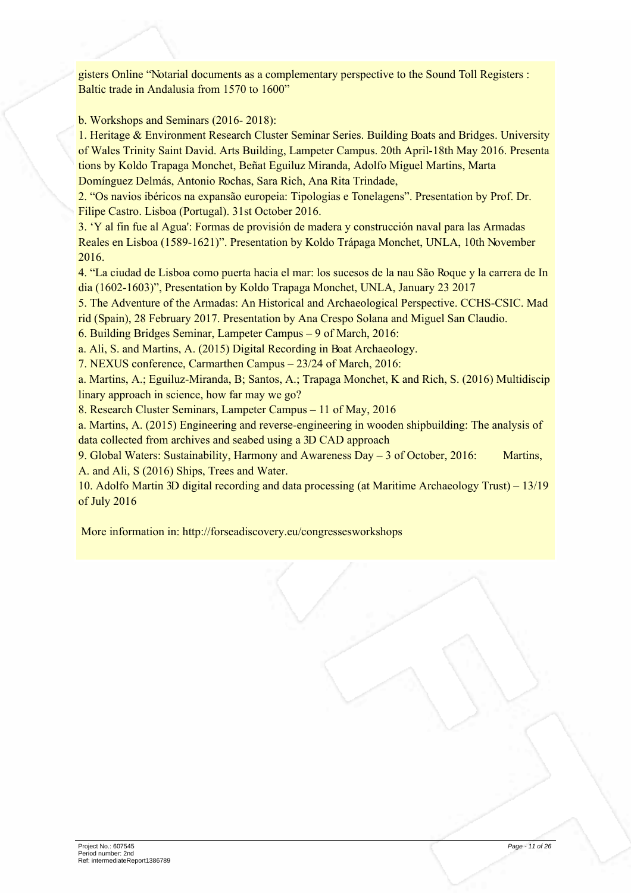gisters Online "Notarial documents as a complementary perspective to the Sound Toll Registers : Baltic trade in Andalusia from 1570 to 1600"

b. Workshops and Seminars  $(2016 - 2018)$ :

1. Heritage & Environment Research Cluster Seminar Series. Building Boats and Bridges. University of Wales Trinity Saint David. Arts Building, Lampeter Campus. 20th April-18th May 2016. Presenta tions by Koldo Trapaga Monchet, Beñat Eguiluz Miranda, Adolfo Miguel Martins, Marta Domínguez Delmás, Antonio Rochas, Sara Rich, Ana Rita Trindade,

2. "Os navios ibéricos na expansão europeia: Tipologias e Tonelagens". Presentation by Prof. Dr. Filipe Castro. Lisboa (Portugal). 31st October 2016.

3. 'Y al fin fue al Agua': Formas de provisión de madera y construcción naval para las Armadas Reales en Lisboa (1589-1621)". Presentation by Koldo Trápaga Monchet, UNLA, 10th November 2016

4. "La ciudad de Lisboa como puerta hacia el mar: los sucesos de la nau São Roque y la carrera de In dia (1602-1603)", Presentation by Koldo Trapaga Monchet, UNLA, January 23 2017

5. The Adventure of the Armadas: An Historical and Archaeological Perspective. CCHS-CSIC. Mad rid (Spain), 28 February 2017. Presentation by Ana Crespo Solana and Miguel San Claudio.

6. Building Bridges Seminar, Lampeter Campus – 9 of March, 2016;

a. Ali, S. and Martins, A. (2015) Digital Recording in Boat Archaeology.

7. NEXUS conference, Carmarthen Campus - 23/24 of March, 2016:

a. Martins, A.; Eguiluz-Miranda, B; Santos, A.; Trapaga Monchet, K and Rich, S. (2016) Multidiscip linary approach in science, how far may we go?

8. Research Cluster Seminars, Lampeter Campus - 11 of May, 2016

a. Martins, A. (2015) Engineering and reverse-engineering in wooden shippuilding: The analysis of data collected from archives and seabed using a 3D CAD approach

9. Global Waters: Sustainability, Harmony and Awareness Day – 3 of October, 2016: Martins, A. and Ali, S (2016) Ships, Trees and Water.

10. Adolfo Martin 3D digital recording and data processing (at Maritime Archaeology Trust) – 13/19 of July 2016

More information in: http://forseadiscovery.eu/congressesworkshops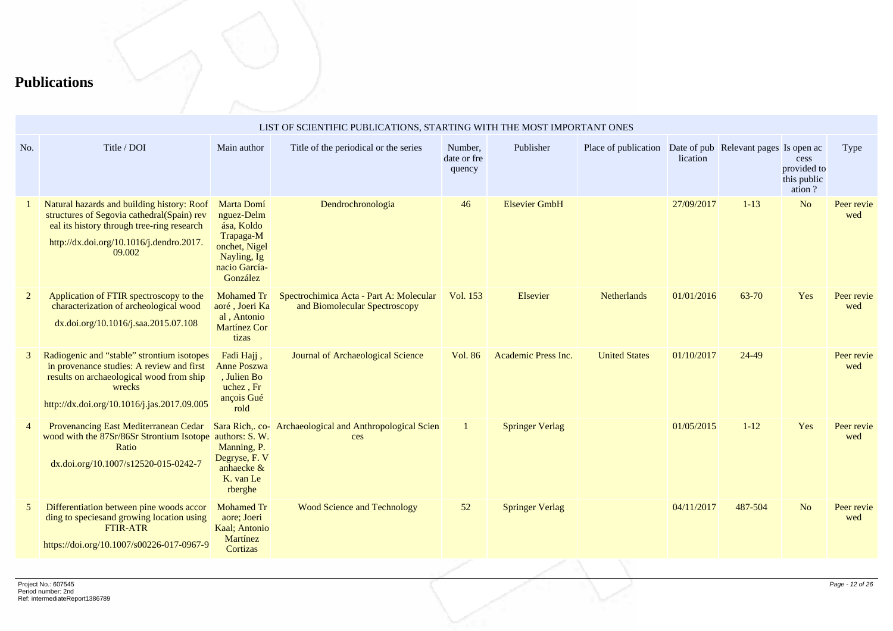## **Publications**

|                | LIST OF SCIENTIFIC PUBLICATIONS, STARTING WITH THE MOST IMPORTANT ONES                                                                                                                       |                                                                                                                  |                                                                          |                                  |                        |                      |            |                                       |                                              |                   |  |
|----------------|----------------------------------------------------------------------------------------------------------------------------------------------------------------------------------------------|------------------------------------------------------------------------------------------------------------------|--------------------------------------------------------------------------|----------------------------------|------------------------|----------------------|------------|---------------------------------------|----------------------------------------------|-------------------|--|
| No.            | Title / DOI                                                                                                                                                                                  | Main author                                                                                                      | Title of the periodical or the series                                    | Number,<br>date or fre<br>quency | Publisher              | Place of publication | lication   | Date of pub Relevant pages Is open ac | cess<br>provided to<br>this public<br>ation? | Type              |  |
|                | Natural hazards and building history: Roof<br>structures of Segovia cathedral(Spain) rev<br>eal its history through tree-ring research<br>http://dx.doi.org/10.1016/j.dendro.2017.<br>09.002 | Marta Domí<br>nguez-Delm<br>ása, Koldo<br>Trapaga-M<br>onchet, Nigel<br>Nayling, Ig<br>nacio García-<br>González | Dendrochronologia                                                        | 46                               | <b>Elsevier GmbH</b>   |                      | 27/09/2017 | $1 - 13$                              | N <sub>o</sub>                               | Peer revie<br>wed |  |
| $\overline{2}$ | Application of FTIR spectroscopy to the<br>characterization of archeological wood<br>dx.doi.org/10.1016/j.saa.2015.07.108                                                                    | <b>Mohamed Tr</b><br>aoré, Joeri Ka<br>al, Antonio<br><b>Martínez Cor</b><br>tizas                               | Spectrochimica Acta - Part A: Molecular<br>and Biomolecular Spectroscopy | Vol. 153                         | Elsevier               | <b>Netherlands</b>   | 01/01/2016 | 63-70                                 | Yes                                          | Peer revie<br>wed |  |
| 3              | Radiogenic and "stable" strontium isotopes<br>in provenance studies: A review and first<br>results on archaeological wood from ship<br>wrecks<br>http://dx.doi.org/10.1016/j.jas.2017.09.005 | Fadi Hajj,<br><b>Anne Poszwa</b><br>, Julien Bo<br>uchez, Fr<br>ançois Gué<br>rold                               | Journal of Archaeological Science                                        | Vol. 86                          | Academic Press Inc.    | <b>United States</b> | 01/10/2017 | 24-49                                 |                                              | Peer revie<br>wed |  |
|                | Provenancing East Mediterranean Cedar<br>wood with the 87Sr/86Sr Strontium Isotope authors: S. W.<br>Ratio<br>dx.doi.org/10.1007/s12520-015-0242-7                                           | Sara Rich,. co-<br>Manning, P.<br>Degryse, F. V<br>anhaecke &<br>K. van Le<br>rberghe                            | Archaeological and Anthropological Scien<br>ces                          |                                  | <b>Springer Verlag</b> |                      | 01/05/2015 | $1 - 12$                              | Yes                                          | Peer revie<br>wed |  |
| 5              | Differentiation between pine woods accor<br>ding to species and growing location using<br><b>FTIR-ATR</b><br>https://doi.org/10.1007/s00226-017-0967-9                                       | <b>Mohamed Tr</b><br>aore; Joeri<br>Kaal; Antonio<br>Martínez<br>Cortizas                                        | <b>Wood Science and Technology</b>                                       | 52                               | <b>Springer Verlag</b> |                      | 04/11/2017 | 487-504                               | N <sub>o</sub>                               | Peer revie<br>wed |  |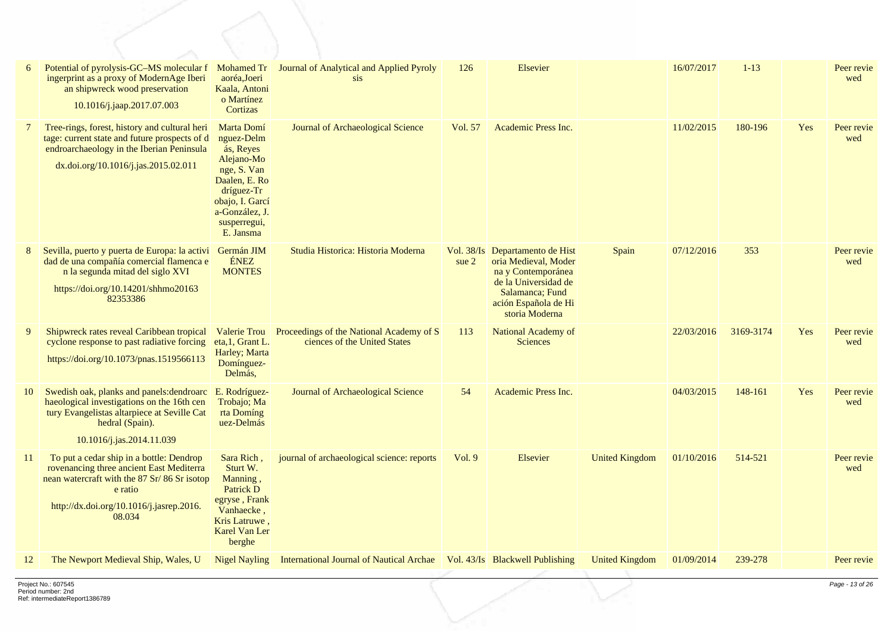|               | Potential of pyrolysis-GC-MS molecular f<br>ingerprint as a proxy of ModernAge Iberi<br>an shipwreck wood preservation<br>10.1016/j.jaap.2017.07.003                                                 | Mohamed Tr<br>aoréa,Joeri<br>Kaala, Antoni<br>o Martínez<br>Cortizas                                                                                                | Journal of Analytical and Applied Pyroly<br>sis                                       | 126     | Elsevier                                                                                                                                                           |                       | 16/07/2017 | $1 - 13$  |     | Peer revie<br>wed |
|---------------|------------------------------------------------------------------------------------------------------------------------------------------------------------------------------------------------------|---------------------------------------------------------------------------------------------------------------------------------------------------------------------|---------------------------------------------------------------------------------------|---------|--------------------------------------------------------------------------------------------------------------------------------------------------------------------|-----------------------|------------|-----------|-----|-------------------|
| $\mathcal{I}$ | Tree-rings, forest, history and cultural heri<br>tage: current state and future prospects of d<br>endroarchaeology in the Iberian Peninsula<br>dx.doi.org/10.1016/j.jas.2015.02.011                  | Marta Domí<br>nguez-Delm<br>ás, Reyes<br>Alejano-Mo<br>nge, S. Van<br>Daalen, E. Ro<br>dríguez-Tr<br>obajo, I. Garcí<br>a-González, J.<br>susperregui,<br>E. Jansma | Journal of Archaeological Science                                                     | Vol. 57 | Academic Press Inc.                                                                                                                                                |                       | 11/02/2015 | 180-196   | Yes | Peer revie<br>wed |
| 8             | Sevilla, puerto y puerta de Europa: la activi<br>dad de una compañía comercial flamenca e<br>n la segunda mitad del siglo XVI<br>https://doi.org/10.14201/shhmo20163<br>82353386                     | Germán JIM<br><b>ÉNEZ</b><br><b>MONTES</b>                                                                                                                          | Studia Historica: Historia Moderna                                                    | sue $2$ | Vol. 38/Is Departamento de Hist<br>oria Medieval, Moder<br>na y Contemporánea<br>de la Universidad de<br>Salamanca: Fund<br>ación Española de Hi<br>storia Moderna | Spain                 | 07/12/2016 | 353       |     | Peer revie<br>wed |
| 9             | Shipwreck rates reveal Caribbean tropical<br>cyclone response to past radiative forcing<br>https://doi.org/10.1073/pnas.1519566113                                                                   | eta, 1, Grant L.<br>Harley; Marta<br>Domínguez-<br>Delmás,                                                                                                          | Valerie Trou Proceedings of the National Academy of S<br>ciences of the United States | 113     | National Academy of<br><b>Sciences</b>                                                                                                                             |                       | 22/03/2016 | 3169-3174 | Yes | Peer revie<br>wed |
| 10            | Swedish oak, planks and panels: dendroarc<br>haeological investigations on the 16th cen<br>tury Evangelistas altarpiece at Seville Cat<br>hedral (Spain).<br>10.1016/j.jas.2014.11.039               | E. Rodríguez-<br>Trobajo; Ma<br>rta Domíng<br>uez-Delmás                                                                                                            | Journal of Archaeological Science                                                     | 54      | Academic Press Inc.                                                                                                                                                |                       | 04/03/2015 | 148-161   | Yes | Peer revie<br>wed |
| 11            | To put a cedar ship in a bottle: Dendrop<br>rovenancing three ancient East Mediterra<br>nean watercraft with the 87 Sr/86 Sr isotop<br>e ratio<br>http://dx.doi.org/10.1016/j.jasrep.2016.<br>08.034 | Sara Rich,<br>Sturt W.<br>Manning,<br>Patrick D<br>egryse, Frank<br>Vanhaecke,<br>Kris Latruwe.<br><b>Karel Van Ler</b><br>berghe                                   | journal of archaeological science: reports                                            | Vol.9   | Elsevier                                                                                                                                                           | <b>United Kingdom</b> | 01/10/2016 | 514-521   |     | Peer revie<br>wed |
| 12            | The Newport Medieval Ship, Wales, U                                                                                                                                                                  | <b>Nigel Nayling</b>                                                                                                                                                | International Journal of Nautical Archae   Vol. 43/Is Blackwell Publishing            |         |                                                                                                                                                                    | <b>United Kingdom</b> | 01/09/2014 | 239-278   |     | Peer revie        |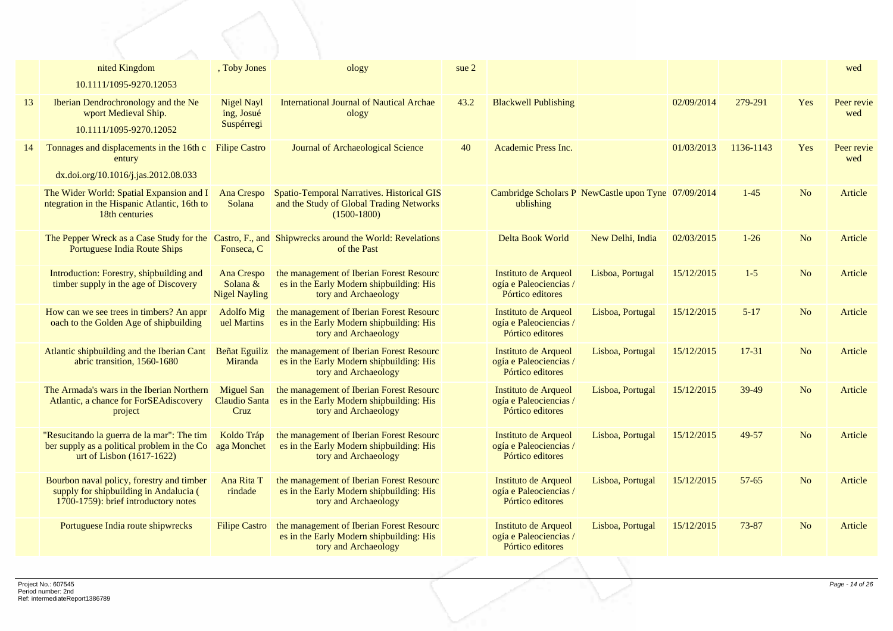|    | nited Kingdom                                                                                                               | , Toby Jones                                          | ology                                                                                                            | sue 2 |                                                                    |                                                     |            |           |                | wed               |
|----|-----------------------------------------------------------------------------------------------------------------------------|-------------------------------------------------------|------------------------------------------------------------------------------------------------------------------|-------|--------------------------------------------------------------------|-----------------------------------------------------|------------|-----------|----------------|-------------------|
|    | 10.1111/1095-9270.12053                                                                                                     |                                                       |                                                                                                                  |       |                                                                    |                                                     |            |           |                |                   |
| 13 | Iberian Dendrochronology and the Ne<br>wport Medieval Ship.                                                                 | <b>Nigel Nayl</b><br>ing, Josué                       | <b>International Journal of Nautical Archae</b><br>ology                                                         | 43.2  | <b>Blackwell Publishing</b>                                        |                                                     | 02/09/2014 | 279-291   | Yes            | Peer revie<br>wed |
|    | 10.1111/1095-9270.12052                                                                                                     | Suspérregi                                            |                                                                                                                  |       |                                                                    |                                                     |            |           |                |                   |
| 14 | Tonnages and displacements in the 16th c<br>entury                                                                          | <b>Filipe Castro</b>                                  | Journal of Archaeological Science                                                                                | 40    | Academic Press Inc.                                                |                                                     | 01/03/2013 | 1136-1143 | Yes            | Peer revie<br>wed |
|    | dx.doi.org/10.1016/j.jas.2012.08.033                                                                                        |                                                       |                                                                                                                  |       |                                                                    |                                                     |            |           |                |                   |
|    | The Wider World: Spatial Expansion and I<br>ntegration in the Hispanic Atlantic, 16th to<br>18th centuries                  | Ana Crespo<br>Solana                                  | Spatio-Temporal Narratives. Historical GIS<br>and the Study of Global Trading Networks<br>$(1500-1800)$          |       | ublishing                                                          | Cambridge Scholars P NewCastle upon Tyne 07/09/2014 |            | $1 - 45$  | N <sub>o</sub> | Article           |
|    | Portuguese India Route Ships                                                                                                | Fonseca, C                                            | The Pepper Wreck as a Case Study for the Castro, F., and Shipwrecks around the World: Revelations<br>of the Past |       | Delta Book World                                                   | New Delhi, India                                    | 02/03/2015 | $1-26$    | N <sub>o</sub> | Article           |
|    | Introduction: Forestry, shipbuilding and<br>timber supply in the age of Discovery                                           | <b>Ana Crespo</b><br>Solana &<br><b>Nigel Nayling</b> | the management of Iberian Forest Resourc<br>es in the Early Modern shipbuilding: His<br>tory and Archaeology     |       | Instituto de Arqueol<br>ogía e Paleociencias /<br>Pórtico editores | Lisboa, Portugal                                    | 15/12/2015 | $1 - 5$   | N <sub>o</sub> | Article           |
|    | How can we see trees in timbers? An appr<br>oach to the Golden Age of shipbuilding                                          | <b>Adolfo Mig</b><br>uel Martins                      | the management of Iberian Forest Resourc<br>es in the Early Modern shipbuilding: His<br>tory and Archaeology     |       | Instituto de Arqueol<br>ogía e Paleociencias /<br>Pórtico editores | Lisboa, Portugal                                    | 15/12/2015 | $5 - 17$  | N <sub>o</sub> | Article           |
|    | Atlantic shipbuilding and the Iberian Cant<br>abric transition, 1560-1680                                                   | <b>Beñat Eguiliz</b><br>Miranda                       | the management of Iberian Forest Resourc<br>es in the Early Modern shipbuilding: His<br>tory and Archaeology     |       | Instituto de Arqueol<br>ogía e Paleociencias /<br>Pórtico editores | Lisboa, Portugal                                    | 15/12/2015 | $17 - 31$ | N <sub>o</sub> | Article           |
|    | The Armada's wars in the Iberian Northern<br>Atlantic, a chance for ForSEAdiscovery<br>project                              | <b>Miguel San</b><br><b>Claudio Santa</b><br>Cruz     | the management of Iberian Forest Resourc<br>es in the Early Modern shipbuilding: His<br>tory and Archaeology     |       | Instituto de Arqueol<br>ogía e Paleociencias /<br>Pórtico editores | Lisboa, Portugal                                    | 15/12/2015 | 39-49     | N <sub>0</sub> | Article           |
|    | "Resucitando la guerra de la mar": The tim<br>ber supply as a political problem in the Co<br>urt of Lisbon (1617-1622)      | Koldo Tráp<br>aga Monchet                             | the management of Iberian Forest Resourc<br>es in the Early Modern shipbuilding: His<br>tory and Archaeology     |       | Instituto de Arqueol<br>ogía e Paleociencias /<br>Pórtico editores | Lisboa, Portugal                                    | 15/12/2015 | 49-57     | N <sub>o</sub> | Article           |
|    | Bourbon naval policy, forestry and timber<br>supply for shipbuilding in Andalucia (<br>1700-1759): brief introductory notes | Ana Rita T<br>rindade                                 | the management of Iberian Forest Resourc<br>es in the Early Modern shipbuilding: His<br>tory and Archaeology     |       | Instituto de Arqueol<br>ogía e Paleociencias /<br>Pórtico editores | Lisboa, Portugal                                    | 15/12/2015 | $57 - 65$ | N <sub>o</sub> | Article           |
|    | Portuguese India route shipwrecks                                                                                           | <b>Filipe Castro</b>                                  | the management of Iberian Forest Resourc<br>es in the Early Modern shipbuilding: His<br>tory and Archaeology     |       | Instituto de Arqueol<br>ogía e Paleociencias /<br>Pórtico editores | Lisboa, Portugal                                    | 15/12/2015 | 73-87     | N <sub>o</sub> | Article           |
|    |                                                                                                                             |                                                       |                                                                                                                  |       |                                                                    |                                                     |            |           |                |                   |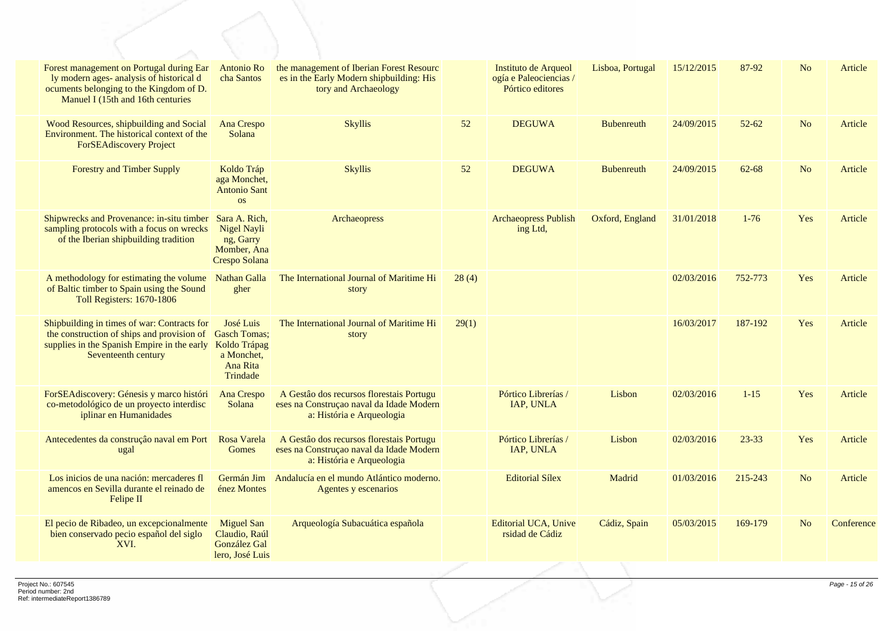| Forest management on Portugal during Ear<br>ly modern ages- analysis of historical d<br>ocuments belonging to the Kingdom of D.<br>Manuel I (15th and 16th centuries | Antonio Ro<br>cha Santos                                                               | the management of Iberian Forest Resourc<br>es in the Early Modern shipbuilding: His<br>tory and Archaeology      |       | Instituto de Arqueol<br>ogía e Paleociencias /<br>Pórtico editores | Lisboa, Portugal  | 15/12/2015 | 87-92     | N <sub>o</sub> | Article    |
|----------------------------------------------------------------------------------------------------------------------------------------------------------------------|----------------------------------------------------------------------------------------|-------------------------------------------------------------------------------------------------------------------|-------|--------------------------------------------------------------------|-------------------|------------|-----------|----------------|------------|
| Wood Resources, shipbuilding and Social<br>Environment. The historical context of the<br><b>ForSEAdiscovery Project</b>                                              | <b>Ana Crespo</b><br>Solana                                                            | <b>Skyllis</b>                                                                                                    | 52    | <b>DEGUWA</b>                                                      | <b>Bubenreuth</b> | 24/09/2015 | $52 - 62$ | N <sub>o</sub> | Article    |
| <b>Forestry and Timber Supply</b>                                                                                                                                    | Koldo Tráp<br>aga Monchet,<br><b>Antonio Sant</b><br><b>OS</b>                         | <b>Skyllis</b>                                                                                                    | 52    | <b>DEGUWA</b>                                                      | <b>Bubenreuth</b> | 24/09/2015 | $62 - 68$ | N <sub>o</sub> | Article    |
| Shipwrecks and Provenance: in-situ timber<br>sampling protocols with a focus on wrecks<br>of the Iberian shipbuilding tradition                                      | Sara A. Rich,<br>Nigel Nayli<br>ng, Garry<br>Momber, Ana<br>Crespo Solana              | Archaeopress                                                                                                      |       | <b>Archaeopress Publish</b><br>ing Ltd,                            | Oxford, England   | 31/01/2018 | $1 - 76$  | Yes            | Article    |
| A methodology for estimating the volume<br>of Baltic timber to Spain using the Sound<br><b>Toll Registers: 1670-1806</b>                                             | <b>Nathan Galla</b><br>gher                                                            | The International Journal of Maritime Hi<br>story                                                                 | 28(4) |                                                                    |                   | 02/03/2016 | 752-773   | Yes            | Article    |
| Shipbuilding in times of war: Contracts for<br>the construction of ships and provision of<br>supplies in the Spanish Empire in the early<br>Seventeenth century      | José Luis<br><b>Gasch Tomas:</b><br>Koldo Trápag<br>a Monchet,<br>Ana Rita<br>Trindade | The International Journal of Maritime Hi<br>story                                                                 | 29(1) |                                                                    |                   | 16/03/2017 | 187-192   | Yes            | Article    |
| ForSEAdiscovery: Génesis y marco históri<br>co-metodológico de un proyecto interdisc<br>iplinar en Humanidades                                                       | Ana Crespo<br>Solana                                                                   | A Gestão dos recursos florestais Portugu<br>eses na Construçao naval da Idade Modern<br>a: História e Arqueologia |       | Pórtico Librerías /<br>IAP, UNLA                                   | Lisbon            | 02/03/2016 | $1 - 15$  | Yes            | Article    |
| Antecedentes da construção naval em Port<br>ugal                                                                                                                     | Rosa Varela<br><b>Gomes</b>                                                            | A Gestão dos recursos florestais Portugu<br>eses na Construçao naval da Idade Modern<br>a: História e Arqueologia |       | Pórtico Librerías /<br>IAP, UNLA                                   | Lisbon            | 02/03/2016 | $23 - 33$ | Yes            | Article    |
| Los inicios de una nación: mercaderes fl<br>amencos en Sevilla durante el reinado de<br>Felipe II                                                                    | Germán Jim<br>énez Montes                                                              | Andalucía en el mundo Atlántico moderno.<br>Agentes y escenarios                                                  |       | <b>Editorial Sílex</b>                                             | Madrid            | 01/03/2016 | 215-243   | N <sub>o</sub> | Article    |
| El pecio de Ribadeo, un excepcionalmente<br>bien conservado pecio español del siglo<br>XVI.                                                                          | <b>Miguel San</b><br>Claudio, Raúl<br>González Gal<br>lero, José Luis                  | Arqueología Subacuática española                                                                                  |       | <b>Editorial UCA</b> , Unive<br>rsidad de Cádiz                    | Cádiz, Spain      | 05/03/2015 | 169-179   | N <sub>o</sub> | Conference |
|                                                                                                                                                                      |                                                                                        |                                                                                                                   |       |                                                                    |                   |            |           |                |            |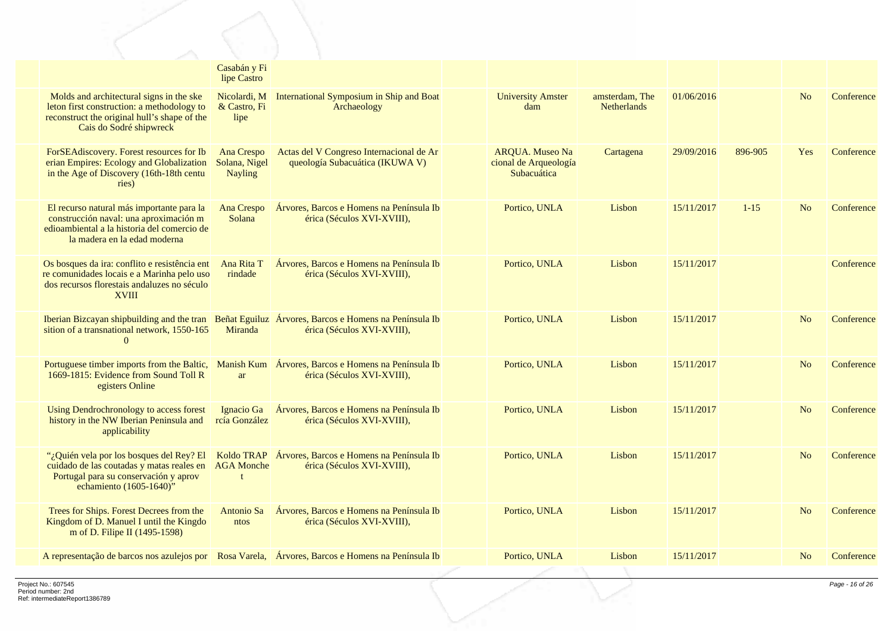|                                                                                                                                                                    | Casabán y Fi<br>lipe Castro                   |                                                                                                                                 |                                                                |                                      |            |          |                |            |
|--------------------------------------------------------------------------------------------------------------------------------------------------------------------|-----------------------------------------------|---------------------------------------------------------------------------------------------------------------------------------|----------------------------------------------------------------|--------------------------------------|------------|----------|----------------|------------|
| Molds and architectural signs in the ske<br>leton first construction: a methodology to<br>reconstruct the original hull's shape of the<br>Cais do Sodré shipwreck  | Nicolardi, M<br>& Castro, Fi<br>lipe          | International Symposium in Ship and Boat<br>Archaeology                                                                         | <b>University Amster</b><br>dam                                | amsterdam, The<br><b>Netherlands</b> | 01/06/2016 |          | No             | Conference |
| ForSEAdiscovery. Forest resources for Ib<br>erian Empires: Ecology and Globalization<br>in the Age of Discovery (16th-18th centu<br>ries)                          | Ana Crespo<br>Solana, Nigel<br><b>Nayling</b> | Actas del V Congreso Internacional de Ar<br>queología Subacuática (IKUWA V)                                                     | <b>AROUA.</b> Museo Na<br>cional de Arqueología<br>Subacuática | Cartagena                            | 29/09/2016 | 896-905  | Yes            | Conference |
| El recurso natural más importante para la<br>construcción naval: una aproximación m<br>edioambiental a la historia del comercio de<br>la madera en la edad moderna | Ana Crespo<br>Solana                          | Árvores, Barcos e Homens na Península Ib<br>érica (Séculos XVI-XVIII),                                                          | Portico, UNLA                                                  | Lisbon                               | 15/11/2017 | $1 - 15$ | N <sub>o</sub> | Conference |
| Os bosques da ira: conflito e resistência ent<br>re comunidades locais e a Marinha pelo uso<br>dos recursos florestais andaluzes no século<br><b>XVIII</b>         | Ana Rita T<br>rindade                         | Árvores, Barcos e Homens na Península Ib<br>érica (Séculos XVI-XVIII),                                                          | Portico, UNLA                                                  | Lisbon                               | 15/11/2017 |          |                | Conference |
| sition of a transnational network, 1550-165<br>$\Omega$                                                                                                            | Miranda                                       | Iberian Bizcayan shipbuilding and the tran Beñat Eguiluz Árvores, Barcos e Homens na Península Ib<br>érica (Séculos XVI-XVIII), | Portico, UNLA                                                  | Lisbon                               | 15/11/2017 |          | N <sub>o</sub> | Conference |
| 1669-1815: Evidence from Sound Toll R<br>egisters Online                                                                                                           | ar                                            | Portuguese timber imports from the Baltic, Manish Kum Árvores, Barcos e Homens na Península Ib<br>érica (Séculos XVI-XVIII),    | Portico, UNLA                                                  | Lisbon                               | 15/11/2017 |          | N <sub>o</sub> | Conference |
| Using Dendrochronology to access forest<br>history in the NW Iberian Peninsula and<br>applicability                                                                | rcía González                                 | Ignacio Ga <i>Arvores</i> , Barcos e Homens na Península Ib<br>érica (Séculos XVI-XVIII),                                       | Portico, UNLA                                                  | Lisbon                               | 15/11/2017 |          | No             | Conference |
| "¿Quién vela por los bosques del Rey? El<br>cuidado de las coutadas y matas reales en<br>Portugal para su conservación y aprov<br>echamiento (1605-1640)"          | <b>AGA Monche</b>                             | Koldo TRAP Árvores, Barcos e Homens na Península Ib<br>érica (Séculos XVI-XVIII),                                               | Portico, UNLA                                                  | Lisbon                               | 15/11/2017 |          | N <sub>o</sub> | Conference |
| Trees for Ships. Forest Decrees from the<br>Kingdom of D. Manuel I until the Kingdo<br>m of D. Filipe II (1495-1598)                                               | Antonio Sa<br>ntos                            | Árvores, Barcos e Homens na Península Ib<br>érica (Séculos XVI-XVIII),                                                          | Portico, UNLA                                                  | Lisbon                               | 15/11/2017 |          | N <sub>o</sub> | Conference |
| A representação de barcos nos azulejos por Rosa Varela, Árvores, Barcos e Homens na Península Ib                                                                   |                                               |                                                                                                                                 | Portico, UNLA                                                  | Lisbon                               | 15/11/2017 |          | No             | Conference |
|                                                                                                                                                                    |                                               |                                                                                                                                 |                                                                |                                      |            |          |                |            |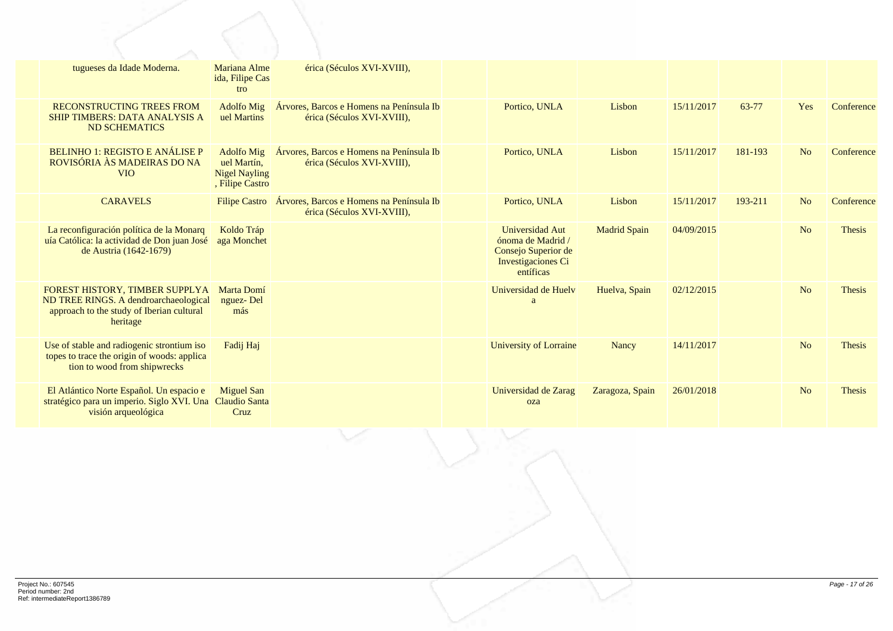| tugueses da Idade Moderna.                                                                                                              | Mariana Alme<br>ida, Filipe Cas<br>tro                                      | érica (Séculos XVI-XVIII),                                                             |                                                                                                |                     |            |         |                |               |
|-----------------------------------------------------------------------------------------------------------------------------------------|-----------------------------------------------------------------------------|----------------------------------------------------------------------------------------|------------------------------------------------------------------------------------------------|---------------------|------------|---------|----------------|---------------|
| <b>RECONSTRUCTING TREES FROM</b><br><b>SHIP TIMBERS: DATA ANALYSIS A</b><br><b>ND SCHEMATICS</b>                                        | <b>Adolfo Mig</b><br>uel Martins                                            | Árvores, Barcos e Homens na Península Ib<br>érica (Séculos XVI-XVIII),                 | Portico, UNLA                                                                                  | Lisbon              | 15/11/2017 | 63-77   | Yes            | Conference    |
| <b>BELINHO 1: REGISTO E ANÁLISE P</b><br>ROVISÓRIA ÀS MADEIRAS DO NA<br><b>VIO</b>                                                      | <b>Adolfo Mig</b><br>uel Martín.<br><b>Nigel Nayling</b><br>, Filipe Castro | Árvores, Barcos e Homens na Península Ib<br>érica (Séculos XVI-XVIII),                 | Portico, UNLA                                                                                  | Lisbon              | 15/11/2017 | 181-193 | N <sub>o</sub> | Conference    |
| <b>CARAVELS</b>                                                                                                                         |                                                                             | Filipe Castro   Árvores, Barcos e Homens na Península Ib<br>érica (Séculos XVI-XVIII), | Portico, UNLA                                                                                  | Lisbon              | 15/11/2017 | 193-211 | N <sub>o</sub> | Conference    |
| La reconfiguración política de la Monarq<br>uía Católica: la actividad de Don juan José<br>de Austria (1642-1679)                       | Koldo Tráp<br>aga Monchet                                                   |                                                                                        | Universidad Aut<br>ónoma de Madrid /<br>Consejo Superior de<br>Investigaciones Ci<br>entíficas | <b>Madrid Spain</b> | 04/09/2015 |         | N <sub>o</sub> | <b>Thesis</b> |
| <b>FOREST HISTORY, TIMBER SUPPLYA</b><br>ND TREE RINGS. A dendroarchaeological<br>approach to the study of Iberian cultural<br>heritage | Marta Domí<br>nguez-Del<br>más                                              |                                                                                        | Universidad de Huelv<br>a                                                                      | Huelva, Spain       | 02/12/2015 |         | N <sub>o</sub> | <b>Thesis</b> |
| Use of stable and radiogenic strontium iso<br>topes to trace the origin of woods: applica<br>tion to wood from shipwrecks               | Fadij Haj                                                                   |                                                                                        | <b>University of Lorraine</b>                                                                  | Nancy               | 14/11/2017 |         | N <sub>o</sub> | <b>Thesis</b> |
| El Atlántico Norte Español. Un espacio e<br>stratégico para un imperio. Siglo XVI. Una<br>visión arqueológica                           | <b>Miguel San</b><br><b>Claudio Santa</b><br>Cruz                           |                                                                                        | Universidad de Zarag<br>oza                                                                    | Zaragoza, Spain     | 26/01/2018 |         | N <sub>o</sub> | <b>Thesis</b> |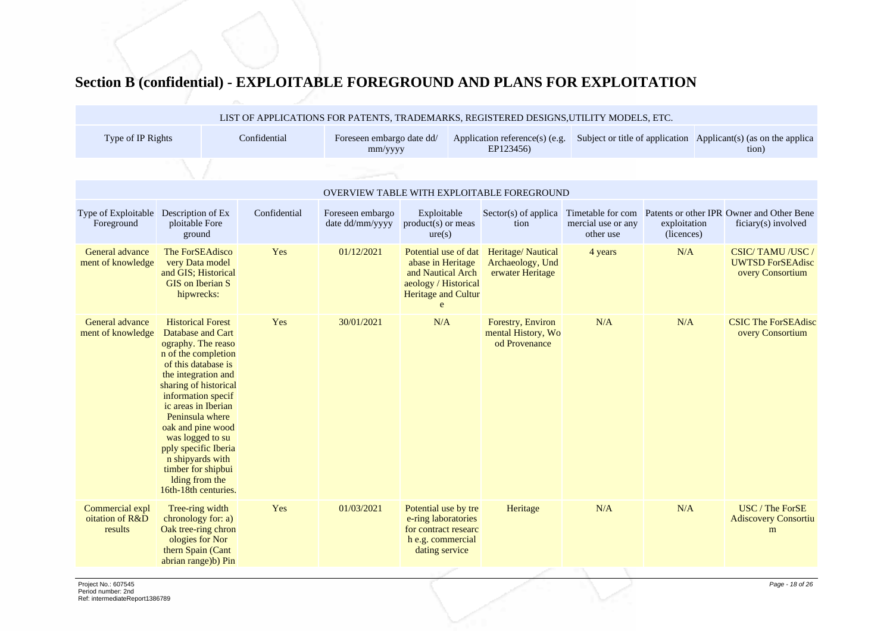## **Section B (confidential) - EXPLOITABLE FOREGROUND AND PLANS FOR EXPLOITATION**

|                                               |                                                                                                                                                                                                                                                                                                                                                                                        |              |                                      |                                                                                                                               | LIST OF APPLICATIONS FOR PATENTS, TRADEMARKS, REGISTERED DESIGNS, UTILITY MODELS, ETC. |                                                      |                            |                                                                          |
|-----------------------------------------------|----------------------------------------------------------------------------------------------------------------------------------------------------------------------------------------------------------------------------------------------------------------------------------------------------------------------------------------------------------------------------------------|--------------|--------------------------------------|-------------------------------------------------------------------------------------------------------------------------------|----------------------------------------------------------------------------------------|------------------------------------------------------|----------------------------|--------------------------------------------------------------------------|
| Type of IP Rights                             |                                                                                                                                                                                                                                                                                                                                                                                        | Confidential | Foreseen embargo date dd/<br>mm/yyyy |                                                                                                                               | Application reference(s) (e.g.<br>EP123456)                                            |                                                      |                            | Subject or title of application Applicant(s) (as on the applica<br>tion) |
|                                               |                                                                                                                                                                                                                                                                                                                                                                                        |              |                                      |                                                                                                                               |                                                                                        |                                                      |                            |                                                                          |
|                                               |                                                                                                                                                                                                                                                                                                                                                                                        |              |                                      |                                                                                                                               | OVERVIEW TABLE WITH EXPLOITABLE FOREGROUND                                             |                                                      |                            |                                                                          |
| Type of Exploitable<br>Foreground             | Description of Ex<br>ploitable Fore<br>ground                                                                                                                                                                                                                                                                                                                                          | Confidential | Foreseen embargo<br>date dd/mm/yyyy  | Exploitable<br>$product(s)$ or meas<br>ure(s)                                                                                 | $Sector(s)$ of applica<br>tion                                                         | Timetable for com<br>mercial use or any<br>other use | exploitation<br>(licences) | Patents or other IPR Owner and Other Bene<br>ficiary(s) involved         |
| General advance<br>ment of knowledge          | The ForSEAdisco<br>very Data model<br>and GIS; Historical<br><b>GIS</b> on Iberian S<br>hipwrecks:                                                                                                                                                                                                                                                                                     | Yes          | 01/12/2021                           | Potential use of dat<br>abase in Heritage<br>and Nautical Arch<br>aeology / Historical<br>Heritage and Cultur<br>$\mathbf{e}$ | Heritage/Nautical<br>Archaeology, Und<br>erwater Heritage                              | 4 years                                              | N/A                        | CSIC/TAMU/USC/<br><b>UWTSD ForSEAdisc</b><br>overy Consortium            |
| General advance<br>ment of knowledge          | <b>Historical Forest</b><br>Database and Cart<br>ography. The reaso<br>n of the completion<br>of this database is<br>the integration and<br>sharing of historical<br>information specif<br>ic areas in Iberian<br>Peninsula where<br>oak and pine wood<br>was logged to su<br>pply specific Iberia<br>n shipyards with<br>timber for shipbui<br>Iding from the<br>16th-18th centuries. | Yes          | 30/01/2021                           | N/A                                                                                                                           | Forestry, Environ<br>mental History, Wo<br>od Provenance                               | N/A                                                  | N/A                        | <b>CSIC The ForSEAdisc</b><br>overy Consortium                           |
| Commercial expl<br>oitation of R&D<br>results | Tree-ring width<br>chronology for: a)<br>Oak tree-ring chron<br>ologies for Nor<br>thern Spain (Cant<br>abrian range)b) Pin                                                                                                                                                                                                                                                            | Yes          | 01/03/2021                           | Potential use by tre<br>e-ring laboratories<br>for contract researc<br>h e.g. commercial<br>dating service                    | Heritage                                                                               | N/A                                                  | N/A                        | USC / The ForSE<br><b>Adiscovery Consortiu</b><br>m                      |
|                                               |                                                                                                                                                                                                                                                                                                                                                                                        |              |                                      |                                                                                                                               |                                                                                        |                                                      |                            |                                                                          |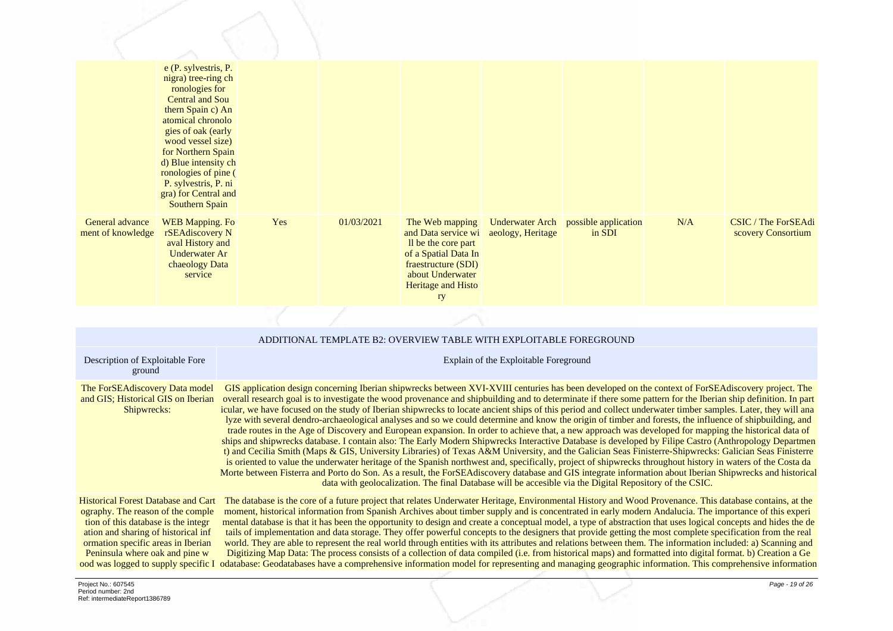|                                      | e (P. sylvestris, P.<br>nigra) tree-ring ch<br>ronologies for<br><b>Central and Sou</b><br>thern Spain c) An<br>atomical chronolo<br>gies of oak (early<br>wood vessel size)<br>for Northern Spain<br>d) Blue intensity ch<br>ronologies of pine (<br>P. sylvestris, P. ni<br>gra) for Central and<br><b>Southern Spain</b> |     |            |                                                                                                                                                              |                                             |                                |     |                                           |
|--------------------------------------|-----------------------------------------------------------------------------------------------------------------------------------------------------------------------------------------------------------------------------------------------------------------------------------------------------------------------------|-----|------------|--------------------------------------------------------------------------------------------------------------------------------------------------------------|---------------------------------------------|--------------------------------|-----|-------------------------------------------|
| General advance<br>ment of knowledge | <b>WEB</b> Mapping. Fo<br>rSEAdiscovery N<br>aval History and<br><b>Underwater Ar</b><br>chaeology Data<br>service                                                                                                                                                                                                          | Yes | 01/03/2021 | The Web mapping<br>and Data service wi<br>Il be the core part<br>of a Spatial Data In<br>fraestructure (SDI)<br>about Underwater<br>Heritage and Histo<br>ry | <b>Underwater Arch</b><br>aeology, Heritage | possible application<br>in SDI | N/A | CSIC / The ForSEAdi<br>scovery Consortium |

|                                                                                                                                                                                                                                                                              | ADDITIONAL TEMPLATE B2: OVERVIEW TABLE WITH EXPLOITABLE FOREGROUND                                                                                                                                                                                                                                                                                                                                                                                                                                                                                                                                                                                                                                                                                                                                                                                                                                                                                                                                                                                                                                                                                                                                                                                                                                                                                                                                                                                                                                                                                                    |
|------------------------------------------------------------------------------------------------------------------------------------------------------------------------------------------------------------------------------------------------------------------------------|-----------------------------------------------------------------------------------------------------------------------------------------------------------------------------------------------------------------------------------------------------------------------------------------------------------------------------------------------------------------------------------------------------------------------------------------------------------------------------------------------------------------------------------------------------------------------------------------------------------------------------------------------------------------------------------------------------------------------------------------------------------------------------------------------------------------------------------------------------------------------------------------------------------------------------------------------------------------------------------------------------------------------------------------------------------------------------------------------------------------------------------------------------------------------------------------------------------------------------------------------------------------------------------------------------------------------------------------------------------------------------------------------------------------------------------------------------------------------------------------------------------------------------------------------------------------------|
| Description of Exploitable Fore<br>ground                                                                                                                                                                                                                                    | Explain of the Exploitable Foreground                                                                                                                                                                                                                                                                                                                                                                                                                                                                                                                                                                                                                                                                                                                                                                                                                                                                                                                                                                                                                                                                                                                                                                                                                                                                                                                                                                                                                                                                                                                                 |
| The ForSEA discovery Data model<br>and GIS; Historical GIS on Iberian<br>Shipwrecks:                                                                                                                                                                                         | GIS application design concerning Iberian shipwrecks between XVI-XVIII centuries has been developed on the context of ForSEAdiscovery project. The<br>overall research goal is to investigate the wood provenance and shipbuilding and to determinate if there some pattern for the Iberian ship definition. In part<br>icular, we have focused on the study of Iberian shipwrecks to locate ancient ships of this period and collect underwater timber samples. Later, they will ana<br>lyze with several dendro-archaeological analyses and so we could determine and know the origin of timber and forests, the influence of shipbuilding, and<br>trade routes in the Age of Discovery and European expansion. In order to achieve that, a new approach was developed for mapping the historical data of<br>ships and shipwrecks database. I contain also: The Early Modern Shipwrecks Interactive Database is developed by Filipe Castro (Anthropology Departmen<br>t) and Cecilia Smith (Maps & GIS, University Libraries) of Texas A&M University, and the Galician Seas Finisterre-Shipwrecks: Galician Seas Finisterre<br>is oriented to value the underwater heritage of the Spanish northwest and, specifically, project of shipwrecks throughout history in waters of the Costa da<br>Morte between Fisterra and Porto do Son. As a result, the ForSEA discovery database and GIS integrate information about Iberian Shipwrecks and historical<br>data with geolocalization. The final Database will be accesible via the Digital Repository of the CSIC. |
| <b>Historical Forest Database and Cart</b><br>ography. The reason of the comple<br>tion of this database is the integr<br>ation and sharing of historical inf<br>ormation specific areas in Iberian<br>Peninsula where oak and pine w<br>ood was logged to supply specific I | The database is the core of a future project that relates Underwater Heritage, Environmental History and Wood Provenance. This database contains, at the<br>moment, historical information from Spanish Archives about timber supply and is concentrated in early modern Andalucia. The importance of this experi<br>mental database is that it has been the opportunity to design and create a conceptual model, a type of abstraction that uses logical concepts and hides the de<br>tails of implementation and data storage. They offer powerful concepts to the designers that provide getting the most complete specification from the real<br>world. They are able to represent the real world through entities with its attributes and relations between them. The information included: a) Scanning and<br>Digitizing Map Data: The process consists of a collection of data compiled (i.e. from historical maps) and formatted into digital format. b) Creation a Ge<br>odatabase: Geodatabases have a comprehensive information model for representing and managing geographic information. This comprehensive information                                                                                                                                                                                                                                                                                                                                                                                                                                 |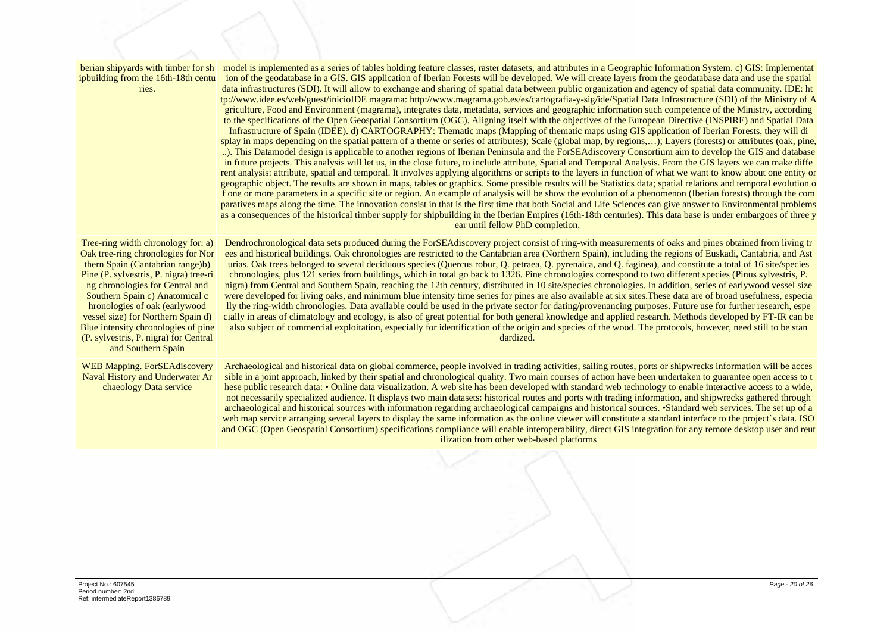| berian shipyards with timber for sh<br>ipbuilding from the 16th-18th centu<br>ries.                                                                                                                                                                                                                                                                                                                      | model is implemented as a series of tables holding feature classes, raster datasets, and attributes in a Geographic Information System. c) GIS: Implementat<br>ion of the geodatabase in a GIS. GIS application of Iberian Forests will be developed. We will create layers from the geodatabase data and use the spatial<br>data infrastructures (SDI). It will allow to exchange and sharing of spatial data between public organization and agency of spatial data community. IDE: ht<br>tp://www.idee.es/web/guest/inicioIDE magrama: http://www.magrama.gob.es/es/cartografia-y-sig/ide/Spatial Data Infrastructure (SDI) of the Ministry of A<br>griculture, Food and Environment (magrama), integrates data, metadata, services and geographic information such competence of the Ministry, according<br>to the specifications of the Open Geospatial Consortium (OGC). Aligning itself with the objectives of the European Directive (INSPIRE) and Spatial Data<br>Infrastructure of Spain (IDEE). d) CARTOGRAPHY: Thematic maps (Mapping of thematic maps using GIS application of Iberian Forests, they will di<br>splay in maps depending on the spatial pattern of a theme or series of attributes); Scale (global map, by regions,); Layers (forests) or attributes (oak, pine,<br>). This Datamodel design is applicable to another regions of Iberian Peninsula and the ForSEAdiscovery Consortium aim to develop the GIS and database<br>in future projects. This analysis will let us, in the close future, to include attribute, Spatial and Temporal Analysis. From the GIS layers we can make diffe<br>rent analysis: attribute, spatial and temporal. It involves applying algorithms or scripts to the layers in function of what we want to know about one entity or<br>geographic object. The results are shown in maps, tables or graphics. Some possible results will be Statistics data; spatial relations and temporal evolution o<br>f one or more parameters in a specific site or region. An example of analysis will be show the evolution of a phenomenon (Iberian forests) through the com<br>paratives maps along the time. The innovation consist in that is the first time that both Social and Life Sciences can give answer to Environmental problems<br>as a consequences of the historical timber supply for shipbuilding in the Iberian Empires (16th-18th centuries). This data base is under embargoes of three y<br>ear until fellow PhD completion. |
|----------------------------------------------------------------------------------------------------------------------------------------------------------------------------------------------------------------------------------------------------------------------------------------------------------------------------------------------------------------------------------------------------------|---------------------------------------------------------------------------------------------------------------------------------------------------------------------------------------------------------------------------------------------------------------------------------------------------------------------------------------------------------------------------------------------------------------------------------------------------------------------------------------------------------------------------------------------------------------------------------------------------------------------------------------------------------------------------------------------------------------------------------------------------------------------------------------------------------------------------------------------------------------------------------------------------------------------------------------------------------------------------------------------------------------------------------------------------------------------------------------------------------------------------------------------------------------------------------------------------------------------------------------------------------------------------------------------------------------------------------------------------------------------------------------------------------------------------------------------------------------------------------------------------------------------------------------------------------------------------------------------------------------------------------------------------------------------------------------------------------------------------------------------------------------------------------------------------------------------------------------------------------------------------------------------------------------------------------------------------------------------------------------------------------------------------------------------------------------------------------------------------------------------------------------------------------------------------------------------------------------------------------------------------------------------------------------------------------------------------------------------------------------------------------------------------------------------------------------------------------------------------------------------------|
| Tree-ring width chronology for: a)<br>Oak tree-ring chronologies for Nor<br>thern Spain (Cantabrian range)b)<br>Pine (P. sylvestris, P. nigra) tree-ri<br>ng chronologies for Central and<br>Southern Spain c) Anatomical c<br>hronologies of oak (earlywood<br>vessel size) for Northern Spain d)<br>Blue intensity chronologies of pine<br>(P. sylvestris, P. nigra) for Central<br>and Southern Spain | Dendrochronological data sets produced during the ForSEAdiscovery project consist of ring-with measurements of oaks and pines obtained from living tr<br>ees and historical buildings. Oak chronologies are restricted to the Cantabrian area (Northern Spain), including the regions of Euskadi, Cantabria, and Ast<br>urias. Oak trees belonged to several deciduous species (Quercus robur, Q. petraea, Q. pyrenaica, and Q. faginea), and constitute a total of 16 site/species<br>chronologies, plus 121 series from buildings, which in total go back to 1326. Pine chronologies correspond to two different species (Pinus sylvestris, P.<br>nigra) from Central and Southern Spain, reaching the 12th century, distributed in 10 site/species chronologies. In addition, series of earlywood vessel size<br>were developed for living oaks, and minimum blue intensity time series for pines are also available at six sites. These data are of broad usefulness, especia<br>lly the ring-width chronologies. Data available could be used in the private sector for dating/provenancing purposes. Future use for further research, espe<br>cially in areas of climatology and ecology, is also of great potential for both general knowledge and applied research. Methods developed by FT-IR can be<br>also subject of commercial exploitation, especially for identification of the origin and species of the wood. The protocols, however, need still to be stan<br>dardized.                                                                                                                                                                                                                                                                                                                                                                                                                                                                                                                                                                                                                                                                                                                                                                                                                                                                                                                                                                                                         |
| <b>WEB Mapping. ForSEAdiscovery</b><br>Naval History and Underwater Ar<br>chaeology Data service                                                                                                                                                                                                                                                                                                         | Archaeological and historical data on global commerce, people involved in trading activities, sailing routes, ports or shipwrecks information will be acces<br>sible in a joint approach, linked by their spatial and chronological quality. Two main courses of action have been undertaken to guarantee open access to t<br>hese public research data: • Online data visualization. A web site has been developed with standard web technology to enable interactive access to a wide,<br>not necessarily specialized audience. It displays two main datasets: historical routes and ports with trading information, and shipwrecks gathered through<br>archaeological and historical sources with information regarding archaeological campaigns and historical sources. • Standard web services. The set up of a<br>web map service arranging several layers to display the same information as the online viewer will constitute a standard interface to the project's data. ISO<br>and OGC (Open Geospatial Consortium) specifications compliance will enable interoperability, direct GIS integration for any remote desktop user and reut<br>ilization from other web-based platforms                                                                                                                                                                                                                                                                                                                                                                                                                                                                                                                                                                                                                                                                                                                                                                                                                                                                                                                                                                                                                                                                                                                                                                                                                                                                                                     |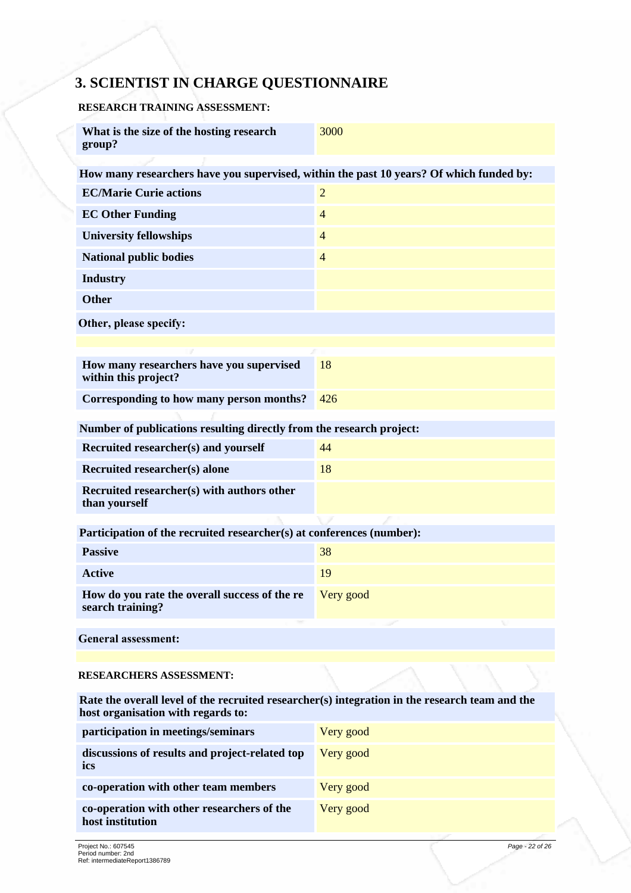## **3. SCIENTIST IN CHARGE QUESTIONNAIRE**

#### **RESEARCH TRAINING ASSESSMENT:**

| What is the size of the hosting research<br>group?                                                                                   | 3000                     |
|--------------------------------------------------------------------------------------------------------------------------------------|--------------------------|
| How many researchers have you supervised, within the past 10 years? Of which funded by:                                              |                          |
| <b>EC/Marie Curie actions</b>                                                                                                        | $\overline{2}$           |
| <b>EC Other Funding</b>                                                                                                              | $\overline{\mathcal{L}}$ |
| <b>University fellowships</b>                                                                                                        | $\overline{4}$           |
| <b>National public bodies</b>                                                                                                        | $\overline{4}$           |
| <b>Industry</b>                                                                                                                      |                          |
| <b>Other</b>                                                                                                                         |                          |
| Other, please specify:                                                                                                               |                          |
|                                                                                                                                      |                          |
| How many researchers have you supervised<br>within this project?                                                                     | 18                       |
| Corresponding to how many person months?                                                                                             | 426                      |
| Number of publications resulting directly from the research project:                                                                 |                          |
| Recruited researcher(s) and yourself                                                                                                 | 44                       |
| Recruited researcher(s) alone                                                                                                        | 18                       |
| Recruited researcher(s) with authors other<br>than yourself                                                                          |                          |
| Participation of the recruited researcher(s) at conferences (number):                                                                |                          |
| <b>Passive</b>                                                                                                                       | 38                       |
| <b>Active</b>                                                                                                                        | 19                       |
| How do you rate the overall success of the re<br>search training?                                                                    | Very good                |
| <b>General assessment:</b>                                                                                                           |                          |
| <b>RESEARCHERS ASSESSMENT:</b>                                                                                                       |                          |
| Rate the overall level of the recruited researcher(s) integration in the research team and the<br>host organisation with regards to: |                          |
| participation in meetings/seminars                                                                                                   | Very good                |
| discussions of results and project-related top<br>ics                                                                                | Very good                |
| co-operation with other team members                                                                                                 | Very good                |
| co-operation with other researchers of the<br>host institution                                                                       | Very good                |
| Project No : 607545                                                                                                                  | Page - 22 of 26          |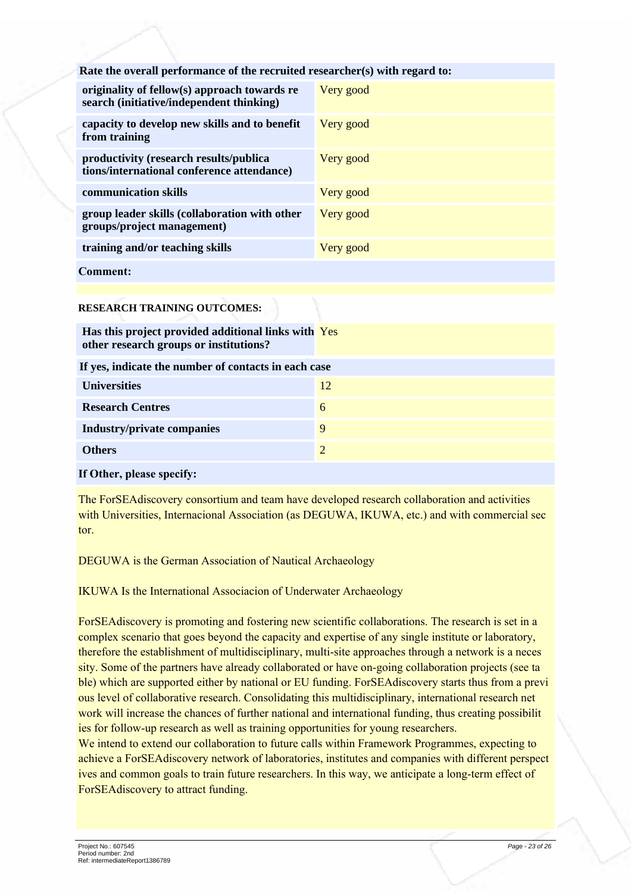| Rate the overall performance of the recruited researcher(s) with regard to:              |           |
|------------------------------------------------------------------------------------------|-----------|
| originality of fellow(s) approach towards re<br>search (initiative/independent thinking) | Very good |
| capacity to develop new skills and to benefit<br>from training                           | Very good |
| productivity (research results/publica<br>tions/international conference attendance)     | Very good |
| communication skills                                                                     | Very good |
| group leader skills (collaboration with other<br>groups/project management)              | Very good |
| training and/or teaching skills                                                          | Very good |
| <b>Comment:</b>                                                                          |           |

**RESEARCH TRAINING OUTCOMES:**

| <b>Universities</b><br>12<br><b>Research Centres</b><br>6<br><b>Industry/private companies</b><br>9<br>$\overline{2}$<br><b>Others</b> | Has this project provided additional links with Yes<br>other research groups or institutions? |  |  |
|----------------------------------------------------------------------------------------------------------------------------------------|-----------------------------------------------------------------------------------------------|--|--|
|                                                                                                                                        | If yes, indicate the number of contacts in each case                                          |  |  |
|                                                                                                                                        |                                                                                               |  |  |
|                                                                                                                                        |                                                                                               |  |  |
|                                                                                                                                        |                                                                                               |  |  |
|                                                                                                                                        |                                                                                               |  |  |

#### If Other, please specify:

The ForSEAdiscovery consortium and team have developed research collaboration and activities with Universities, Internacional Association (as DEGUWA, IKUWA, etc.) and with commercial sec tor

DEGUWA is the German Association of Nautical Archaeology

IKUWA Is the International Associacion of Underwater Archaeology

ForSEAdiscovery is promoting and fostering new scientific collaborations. The research is set in a complex scenario that goes beyond the capacity and expertise of any single institute or laboratory, therefore the establishment of multidisciplinary, multi-site approaches through a network is a neces sity. Some of the partners have already collaborated or have on-going collaboration projects (see ta ble) which are supported either by national or EU funding. ForSEAdiscovery starts thus from a previ ous level of collaborative research. Consolidating this multidisciplinary, international research net work will increase the chances of further national and international funding, thus creating possibilit ies for follow-up research as well as training opportunities for young researchers.

We intend to extend our collaboration to future calls within Framework Programmes, expecting to achieve a ForSEAdiscovery network of laboratories, institutes and companies with different perspect ives and common goals to train future researchers. In this way, we anticipate a long-term effect of ForSEAdiscovery to attract funding.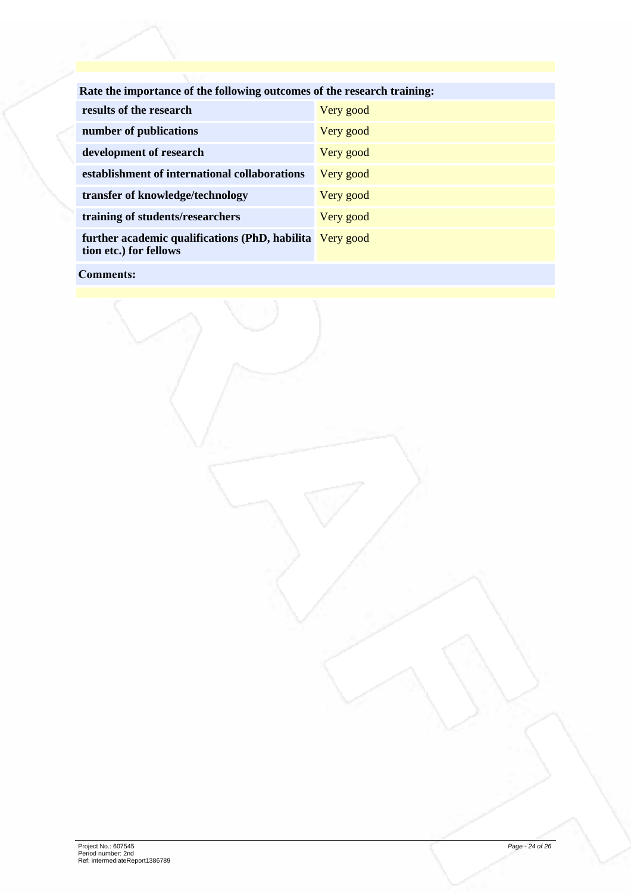| Rate the importance of the following outcomes of the research training:            |           |
|------------------------------------------------------------------------------------|-----------|
| results of the research                                                            | Very good |
| number of publications                                                             | Very good |
| development of research                                                            | Very good |
| establishment of international collaborations                                      | Very good |
| transfer of knowledge/technology                                                   | Very good |
| training of students/researchers                                                   | Very good |
| further academic qualifications (PhD, habilita Very good<br>tion etc.) for fellows |           |
|                                                                                    |           |

#### Comments: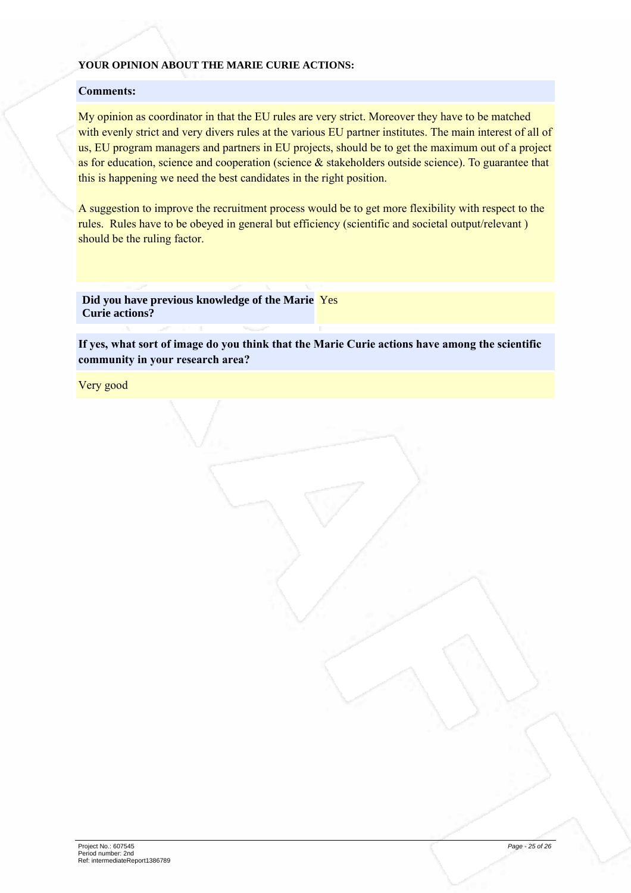#### **YOUR OPINION ABOUT THE MARIE CURIE ACTIONS:**

#### Comments:

My opinion as coordinator in that the EU rules are very strict. Moreover they have to be matched with evenly strict and very divers rules at the various EU partner institutes. The main interest of all of us, EU program managers and partners in EU projects, should be to get the maximum out of a project as for education, science and cooperation (science  $\&$  stakeholders outside science). To guarantee that this is happening we need the best candidates in the right position.

A suggestion to improve the recruitment process would be to get more flexibility with respect to the rules. Rules have to be obeyed in general but efficiency (scientific and societal output/relevant) should be the ruling factor.

**Did you have previous knowledge of the Marie** Yes **Curie actions?**

If yes, what sort of image do you think that the Marie Curie actions have among the scientific community in your research area?

Very good